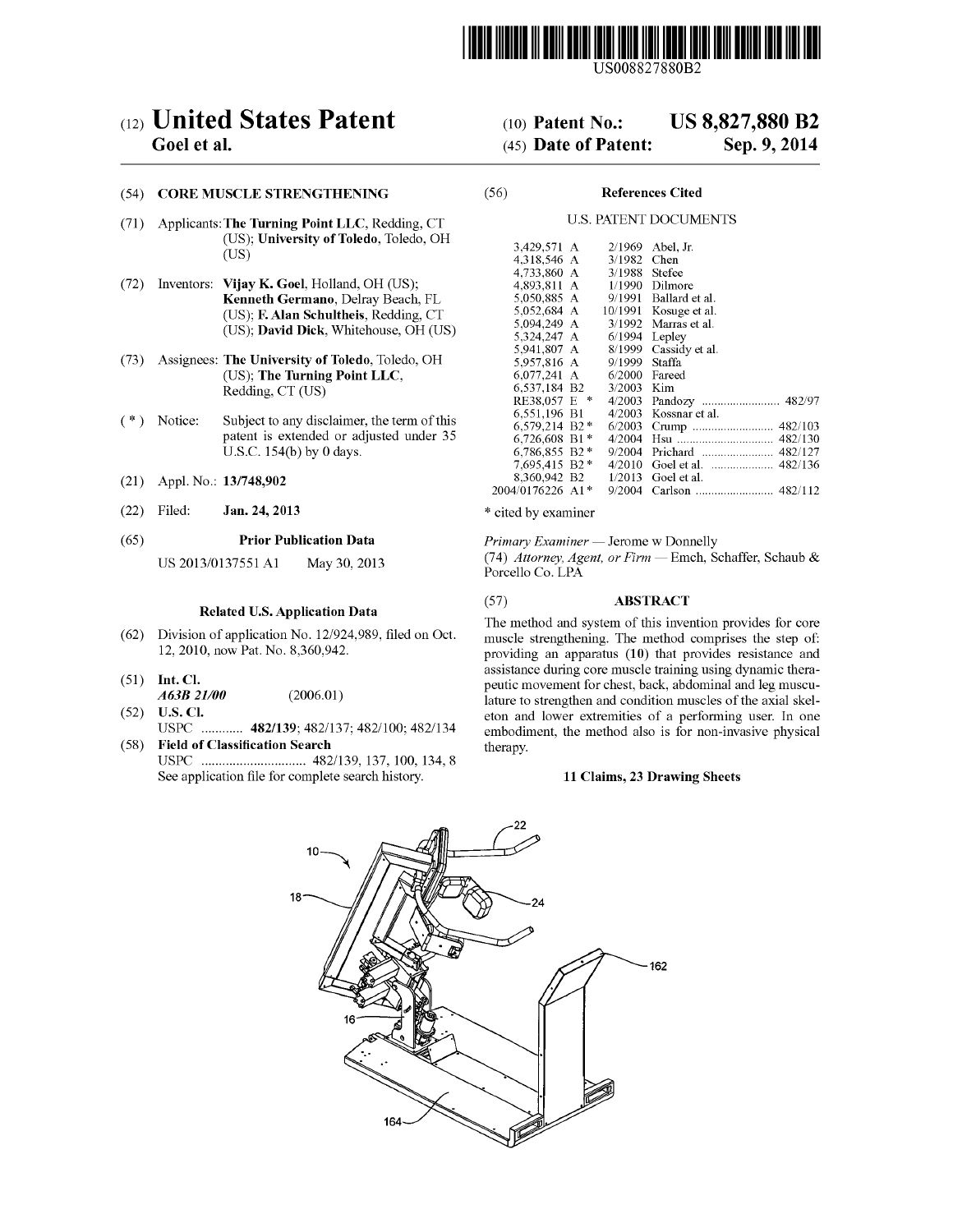

US008827880B2

## c12) **United States Patent**

### **Goel et al.**

### (54) **CORE MUSCLE STRENGTHENING**

- (71) Applicants:The **Turning Point LLC,** Redding, CT (US); **University of Toledo,** Toledo, OH (US)
- (72) Inventors: **Vijay K. Goel,** Holland, OH (US); **Kenneth Germano,** Delray Beach, FL (US); **F. Alan Schultheis,** Redding, CT (US); **David Dick,** Whitehouse, OH (US)
- (73) Assignees: **The University of Toledo,** Toledo, OH (US); **The Turning Point LLC,**  Redding, CT (US)
- ( \*) Notice: Subject to any disclaimer, the term of this patent is extended or adjusted under 35 U.S.C. 154(b) by O days.
- (21) Appl. No.: **13/748,902**
- (22) Filed: **Jan.24,2013**

#### (65) **Prior Publication Data**

US 2013/0137551 Al May 30, 2013

#### **Related U.S. Application Data**

- (62) Division of application No. 12/924,989, filed on Oct. 12, 2010, now Pat. No. 8,360,942.
- (51) **Int. Cl.**
- *A63B 21100* (2006.01) (52) **U.S. Cl.**
- USPC ............ **482/139;** 482/137; 482/100; 482/134 ( 58) **Field of Classification Search**
- USPC .............................. 482/139, 137, 100, 134, 8 See application file for complete search history.

### (IO) **Patent No.: US 8,827,880 B2**

### (45) **Date of Patent: Sep.9,2014**

### (56) **References Cited**

### U.S. PATENT DOCUMENTS

| 3.429,571 A      | 2/1969  | Abel. Jr.         |
|------------------|---------|-------------------|
| 4,318,546 A      | 3/1982  | Chen              |
| 4.733.860 A      | 3/1988  | <b>Stefee</b>     |
| 4,893,811 A      | 1/1990  | Dilmore           |
| 5,050,885 A      | 9/1991  | Ballard et al.    |
| 5.052.684 A      | 10/1991 | Kosuge et al.     |
| 5,094,249 A      | 3/1992  | Marras et al.     |
| 5.324.247 A      | 6/1994  | Lepley            |
| 5.941.807 A      | 8/1999  | Cassidy et al.    |
| 5,957,816 A      | 9/1999  | Staffa            |
| 6.077.241 A      | 6/2000  | Fareed            |
| 6.537.184 B2     | 3/2003  | Kim               |
| RE38.057 E *     | 4/2003  |                   |
| 6,551,196 B1     | 4/2003  | Kossnar et al.    |
| 6.579.214 B2*    | 6/2003  | Crump  482/103    |
| 6.726.608 B1*    | 4/2004  |                   |
| 6.786.855 B2 *   | 9/2004  | Prichard  482/127 |
| 7.695.415 B2 *   | 4/2010  |                   |
| 8,360,942 B2     | 1/2013  | Goel et al.       |
| 2004/0176226 A1* | 9/2004  |                   |
|                  |         |                   |

\* cited by examiner

*Primary Examiner* - Jerome w Donnelly (74) *Attorney, Agent, or Firm* - Emch, Schaffer, Schaub & Porcello Co. LPA

### (57) **ABSTRACT**

The method and system of this invention provides for core muscle strengthening. The method comprises the step of: providing an apparatus **(10)** that provides resistance and assistance during core muscle training using dynamic therapeutic movement for chest, back, abdominal and leg musculature to strengthen and condition muscles of the axial skeleton and lower extremities of a performing user. In one embodiment, the method also is for non-invasive physical therapy.

#### **11 Claims, 23 Drawing Sheets**

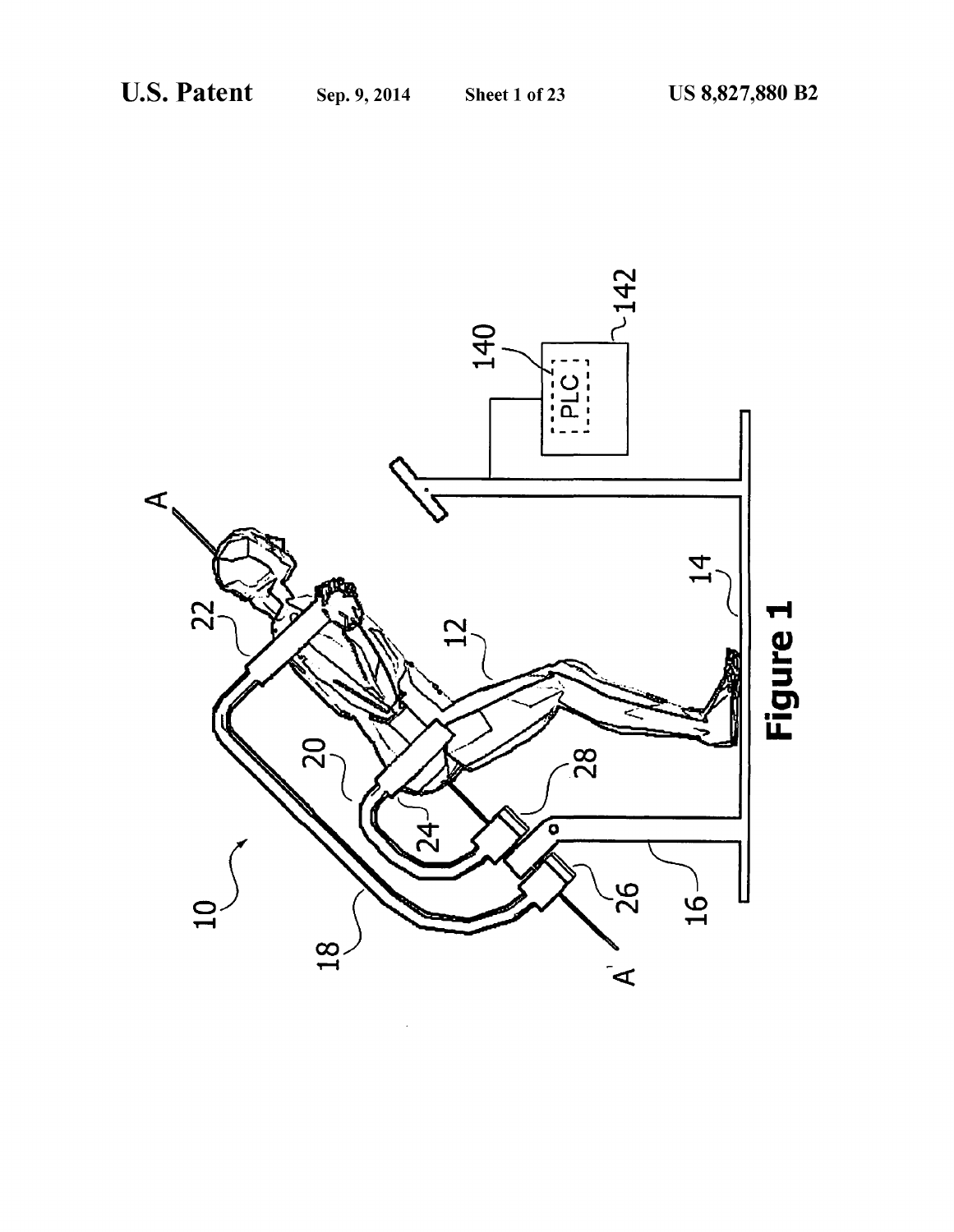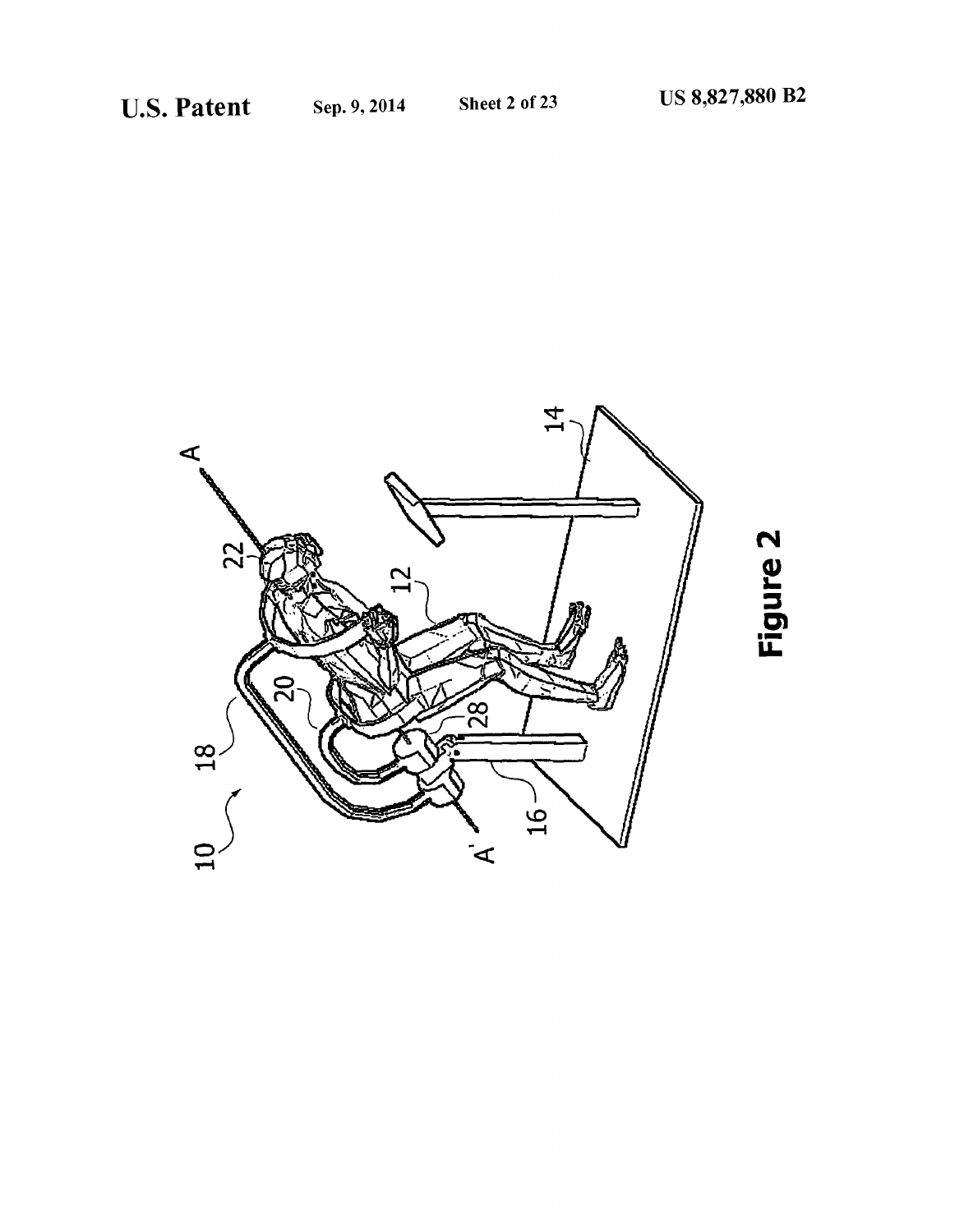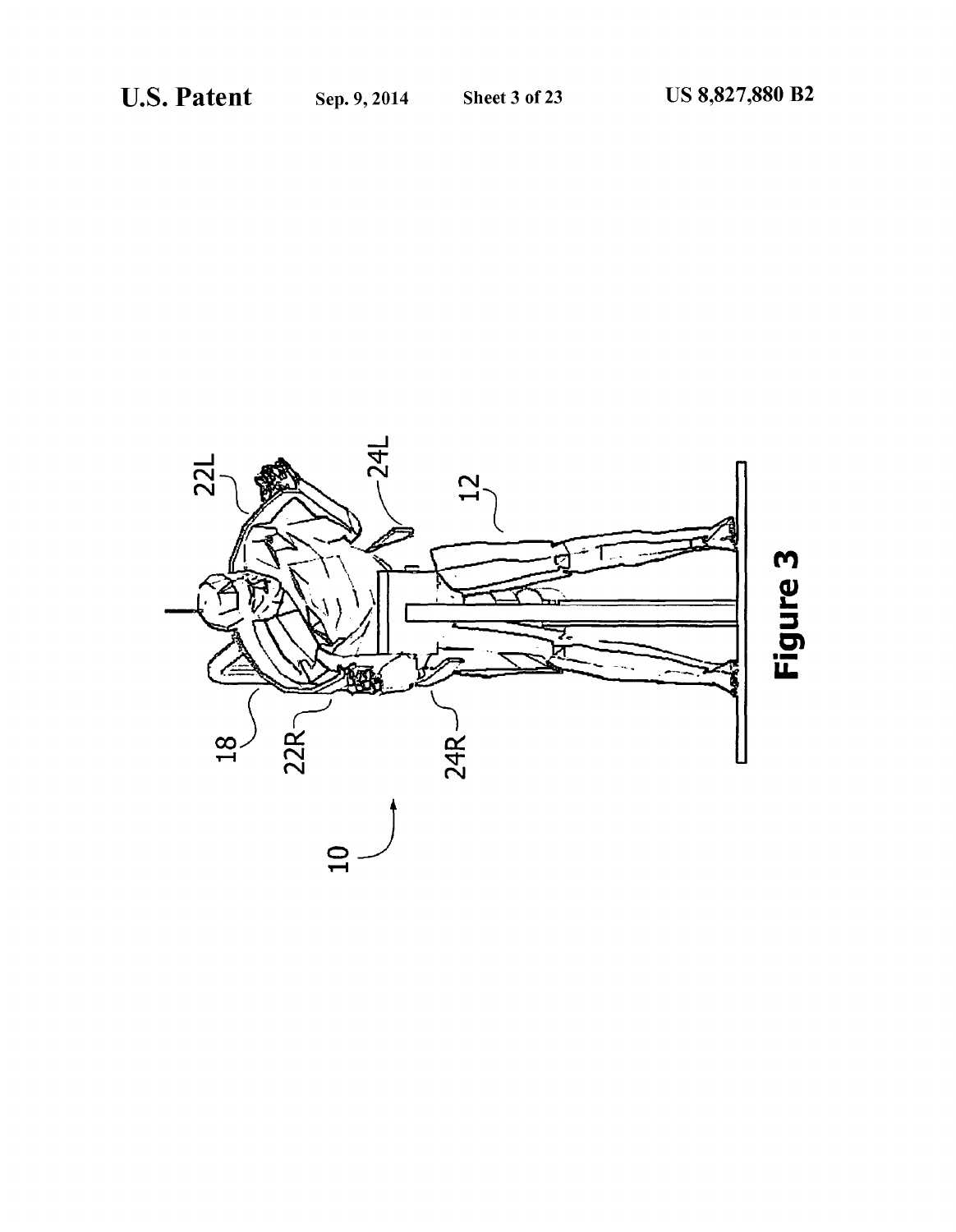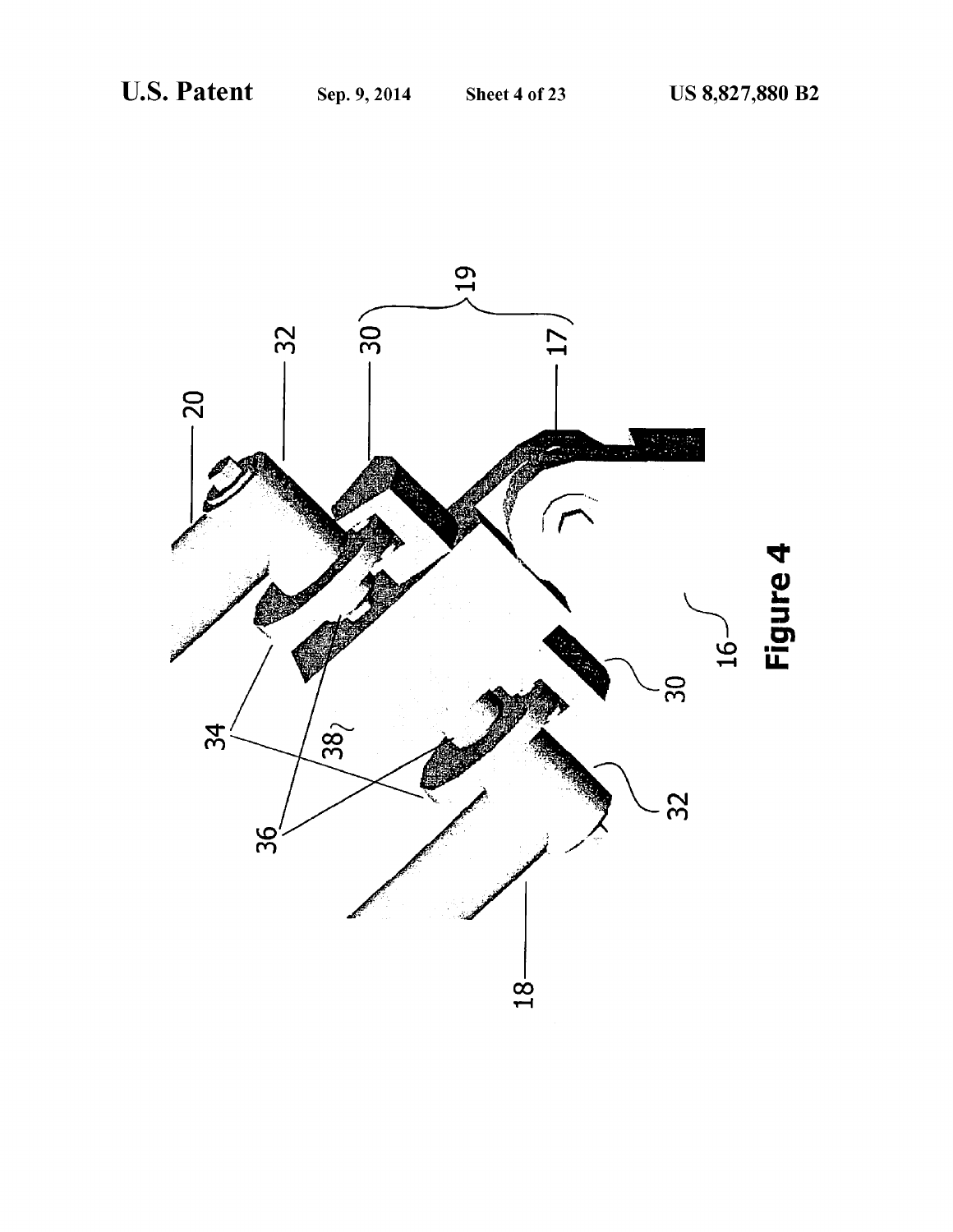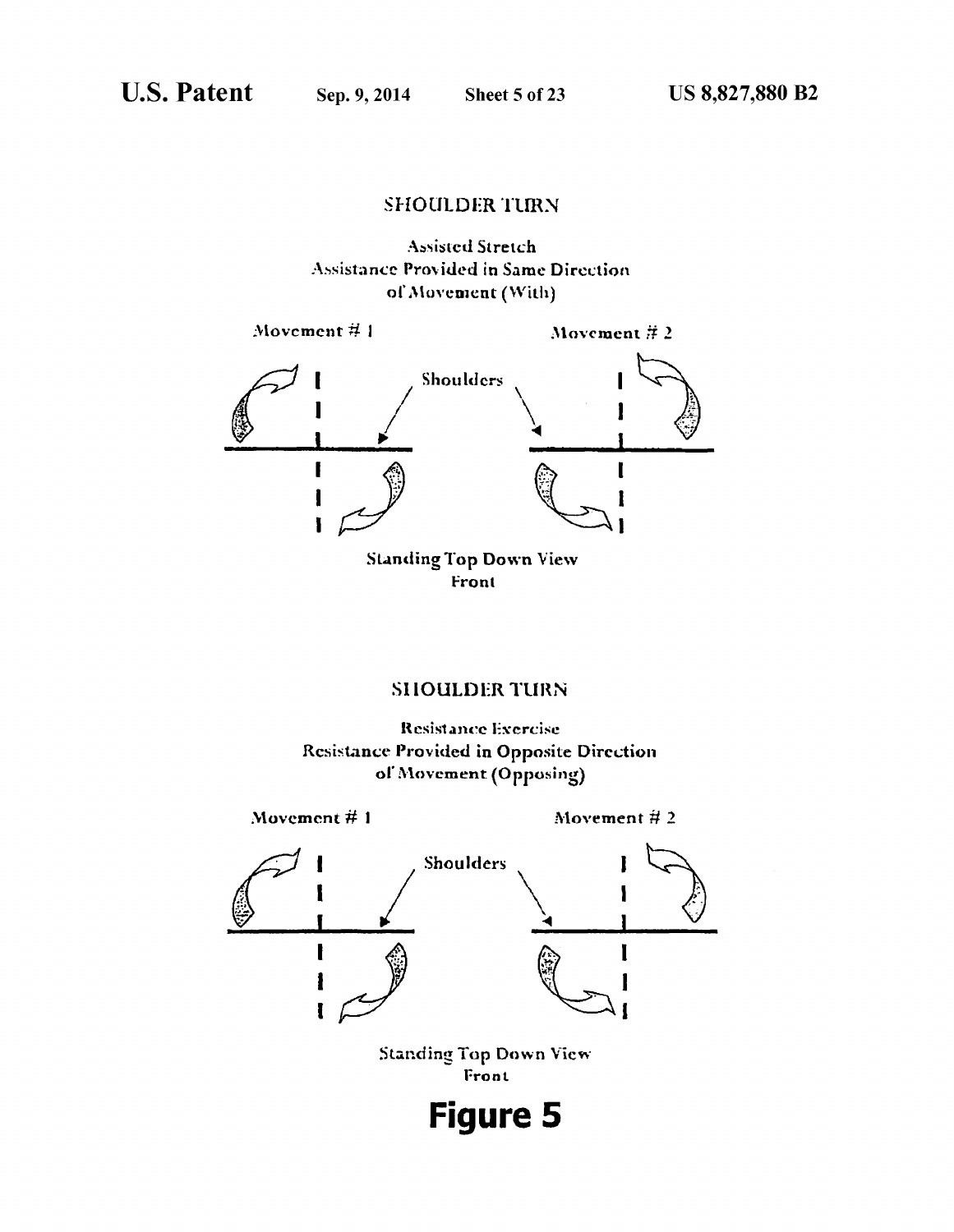### **SHOULDER TURN**





Front

### **SHOULDER TURN**

Resistance Exercise **Resistance Provided in Opposite Direction** of Movement (Opposing)

Movement  $#1$ 

Movement  $#2$ 

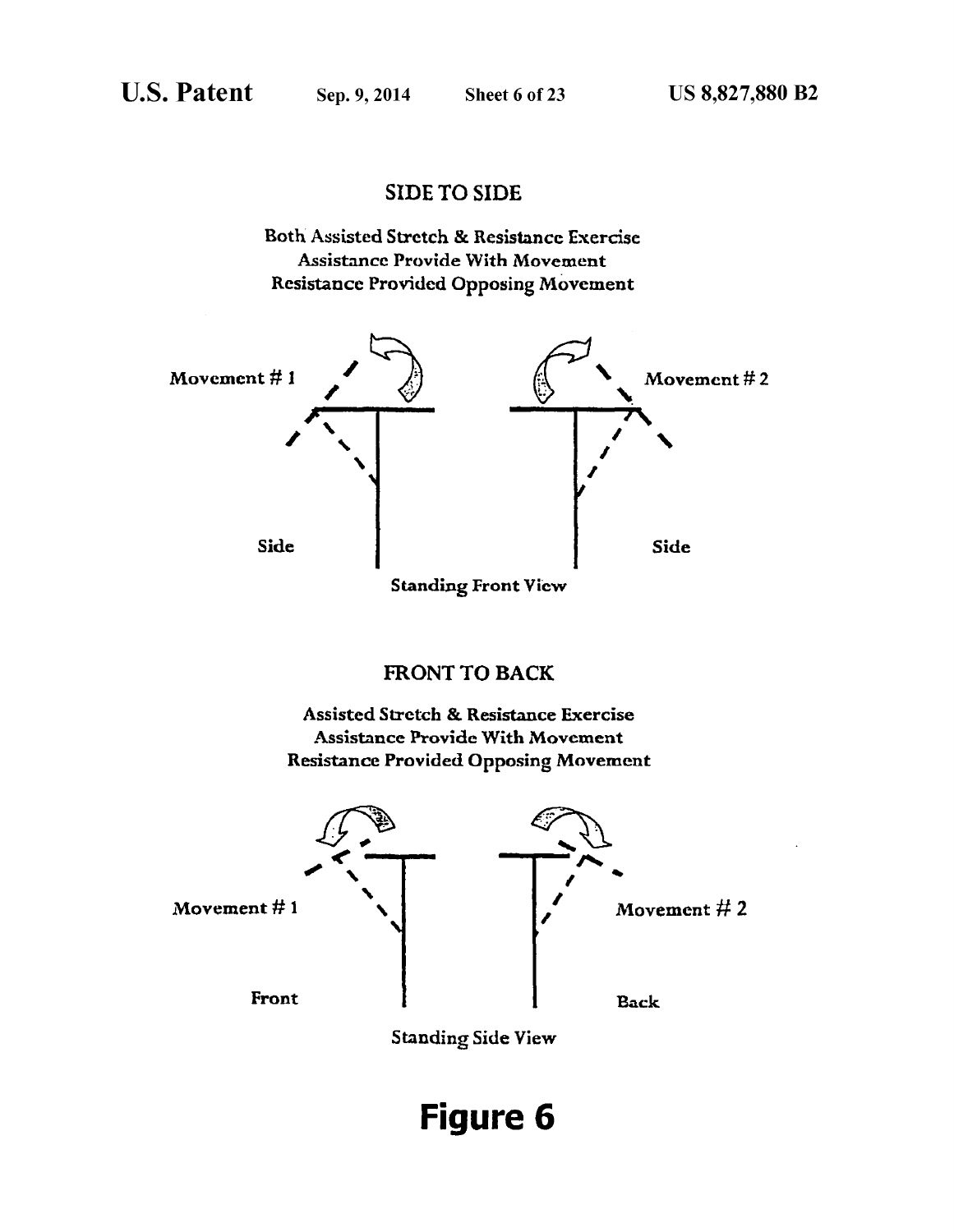### SIDE TO SIDE





# **Figure 6**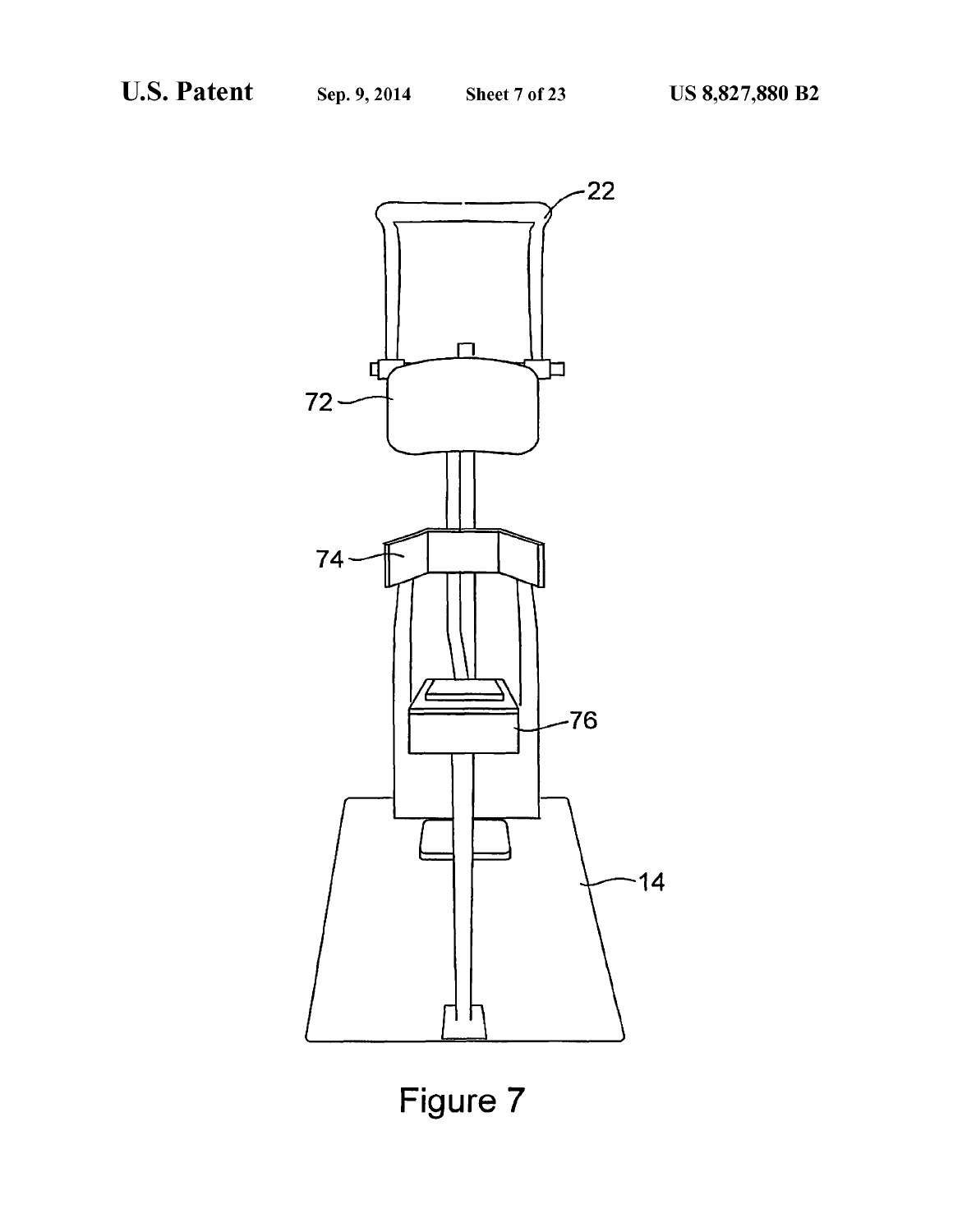

**Figure 7**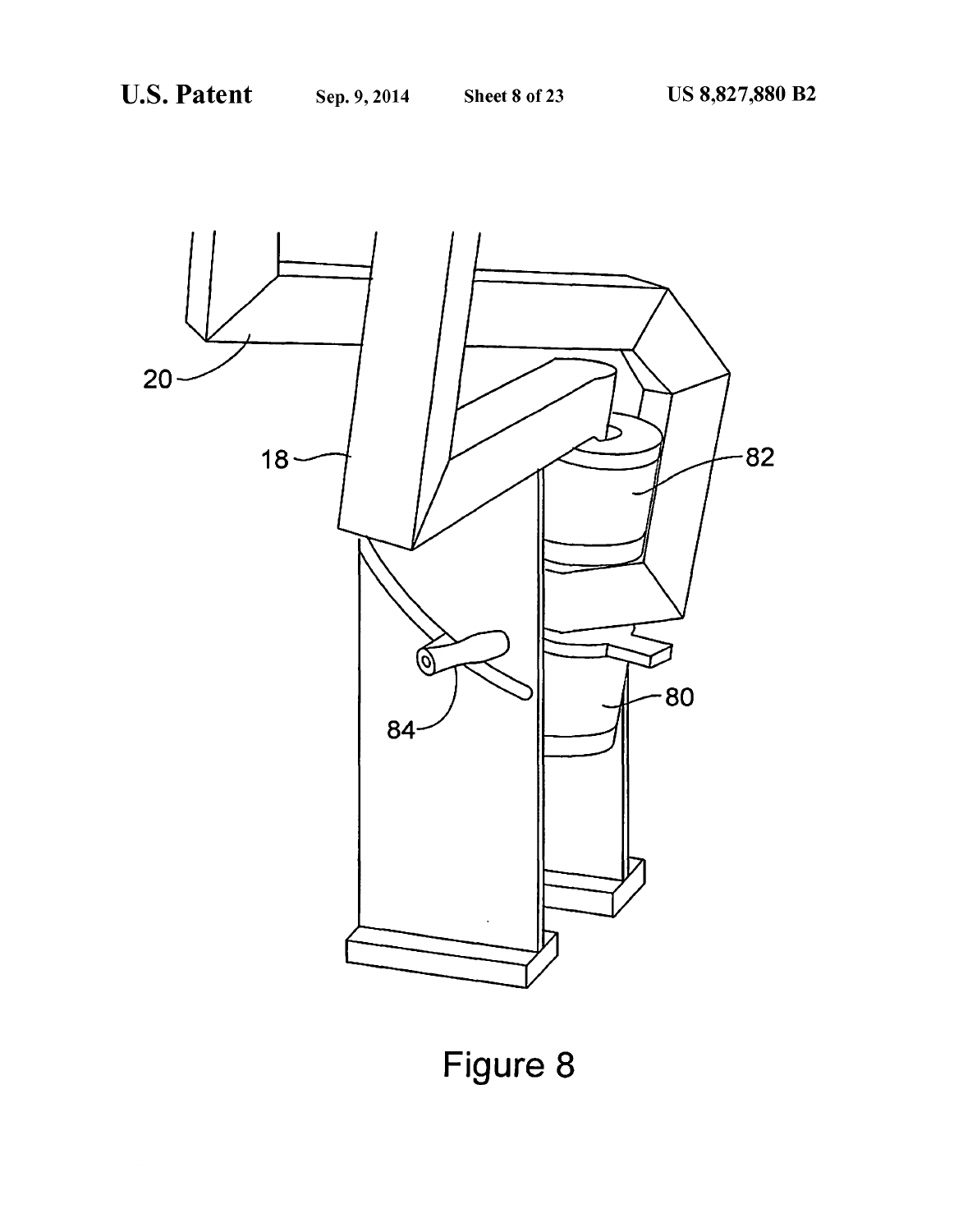

**Figure 8**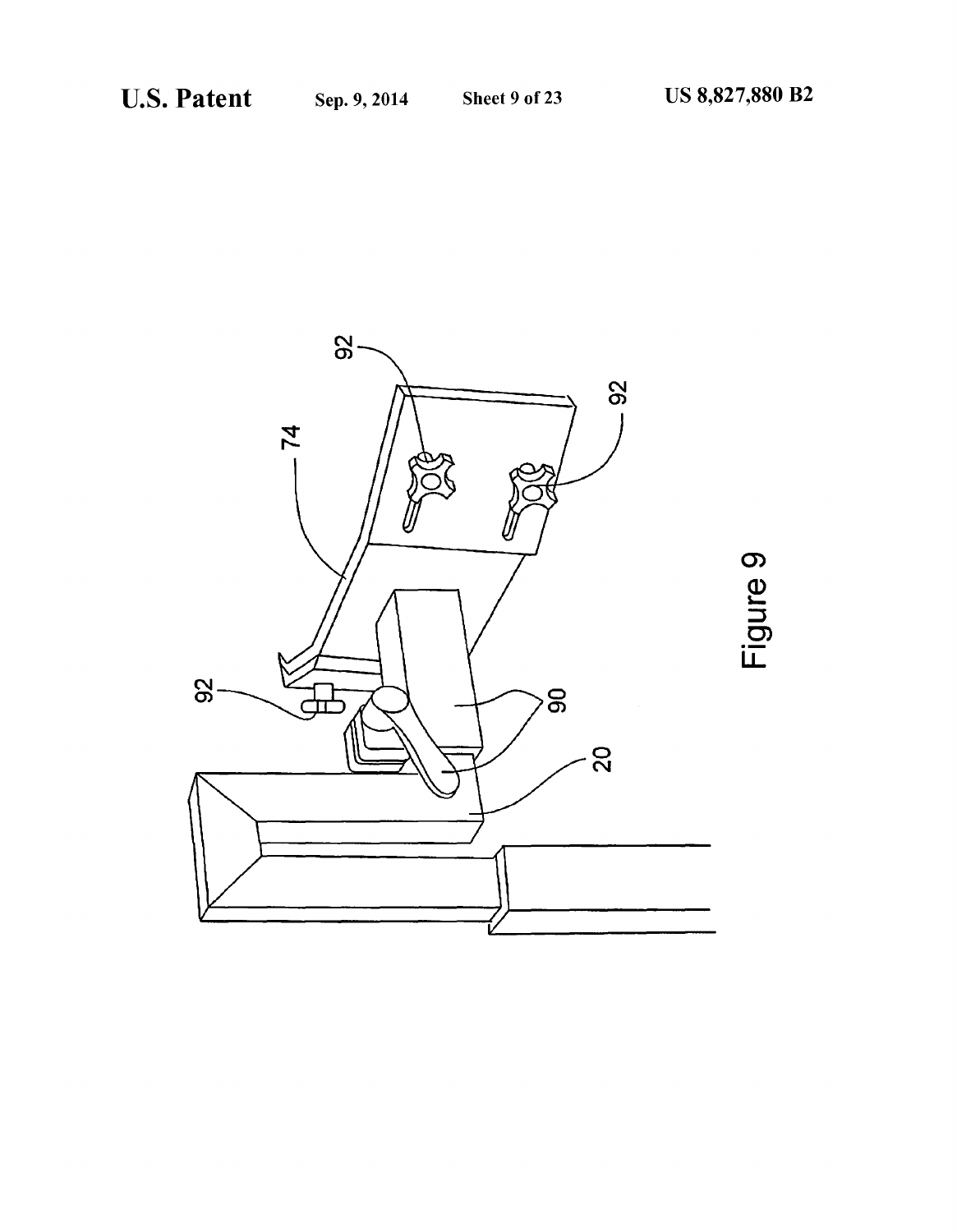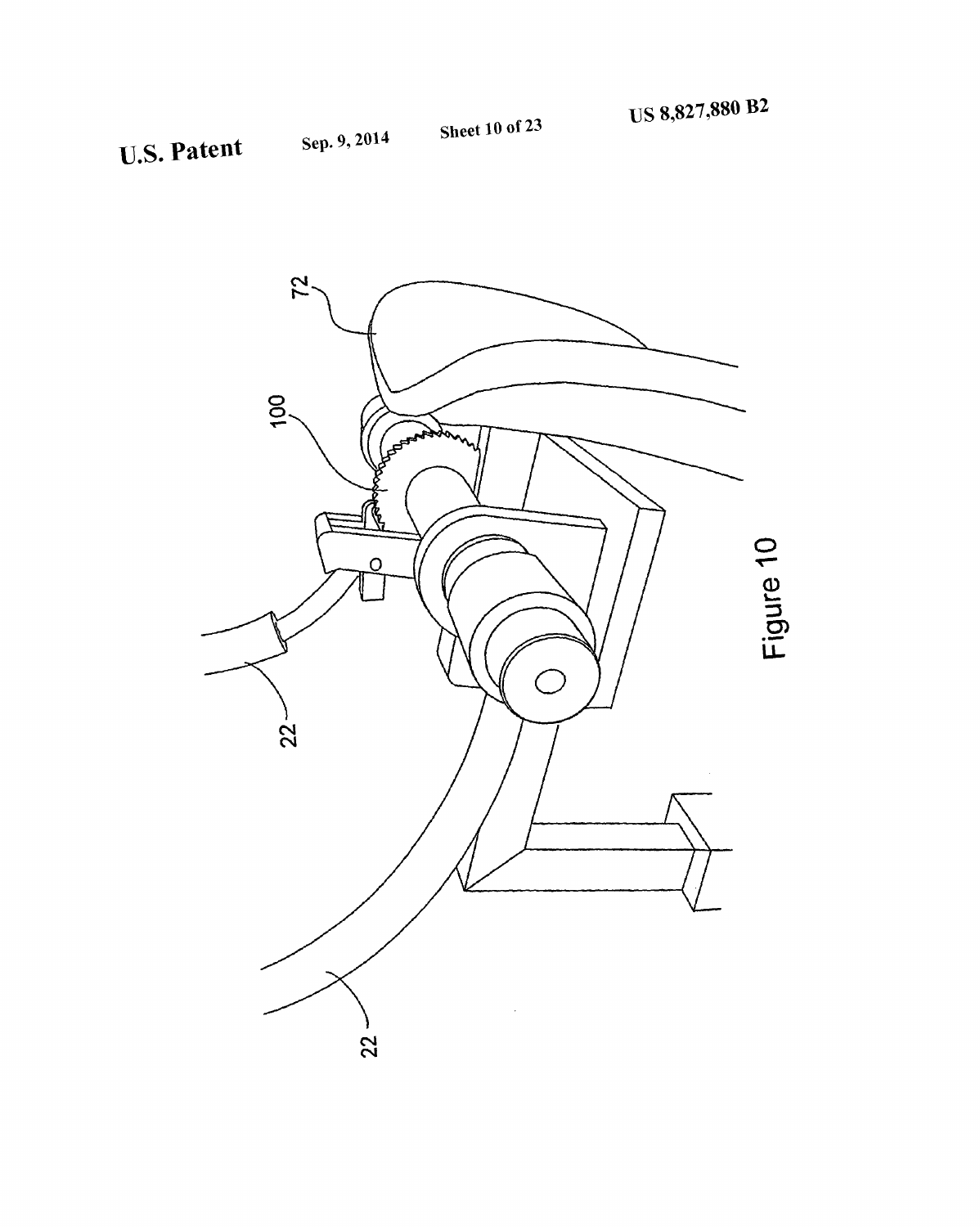![](_page_10_Picture_4.jpeg)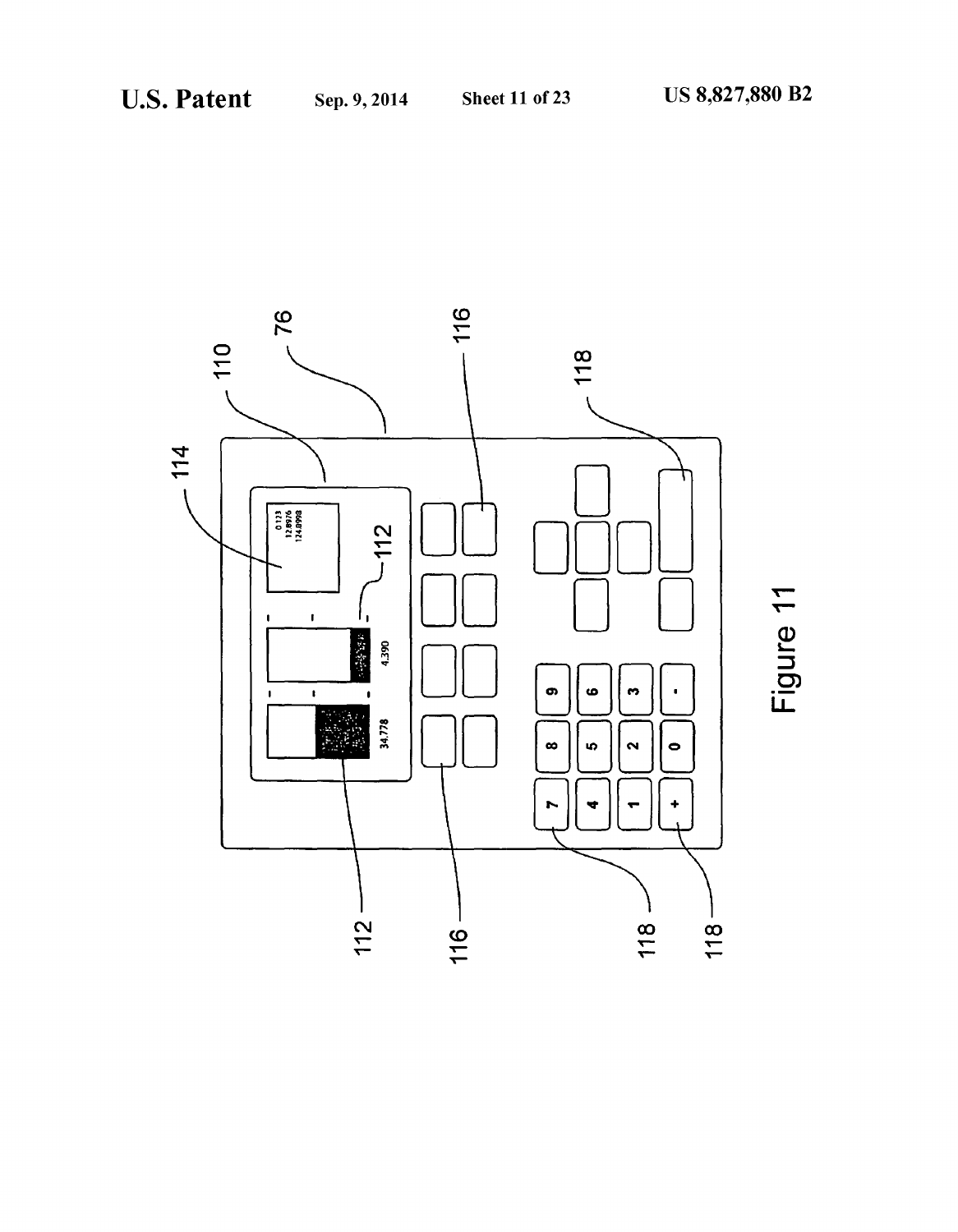![](_page_11_Figure_4.jpeg)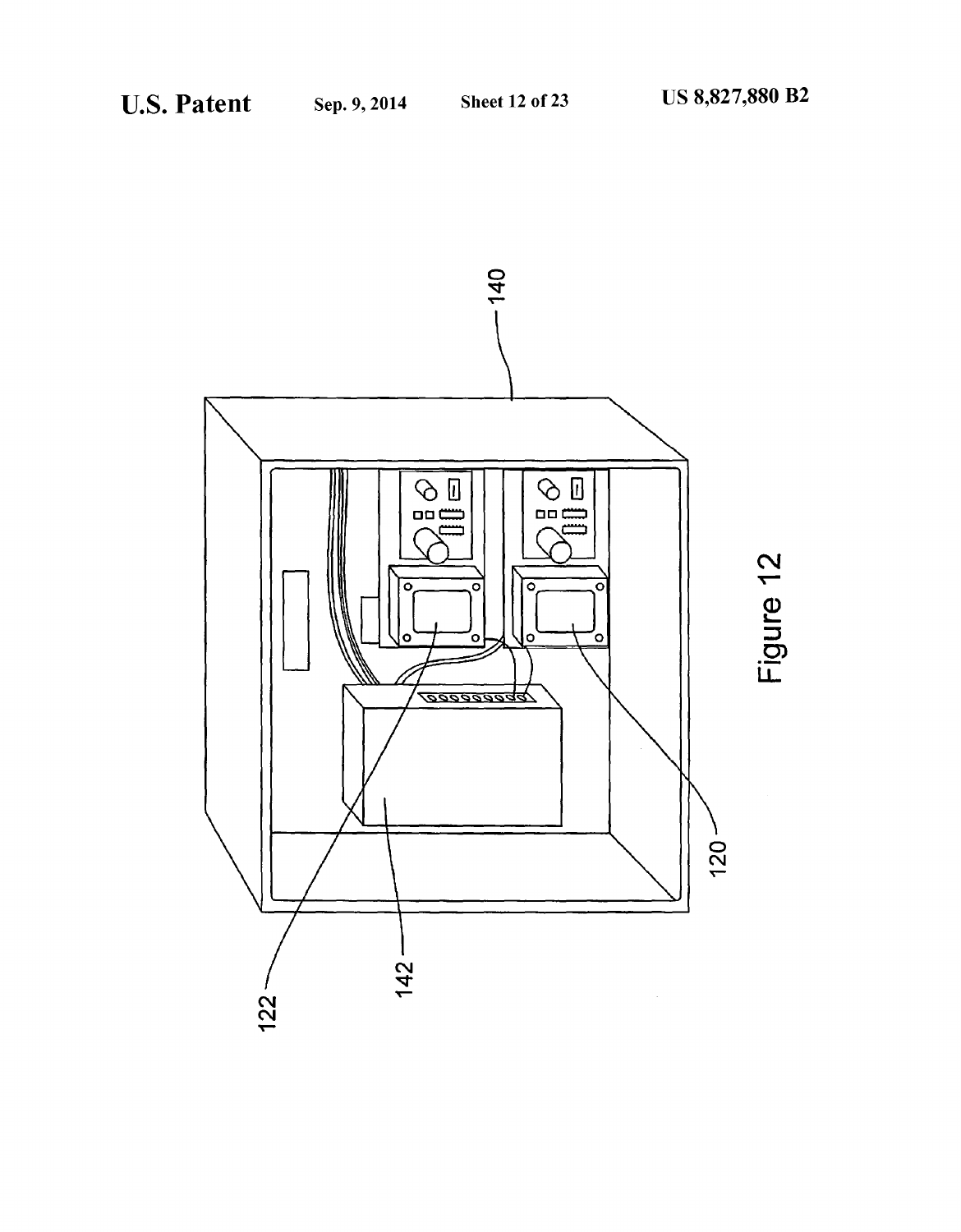![](_page_12_Figure_4.jpeg)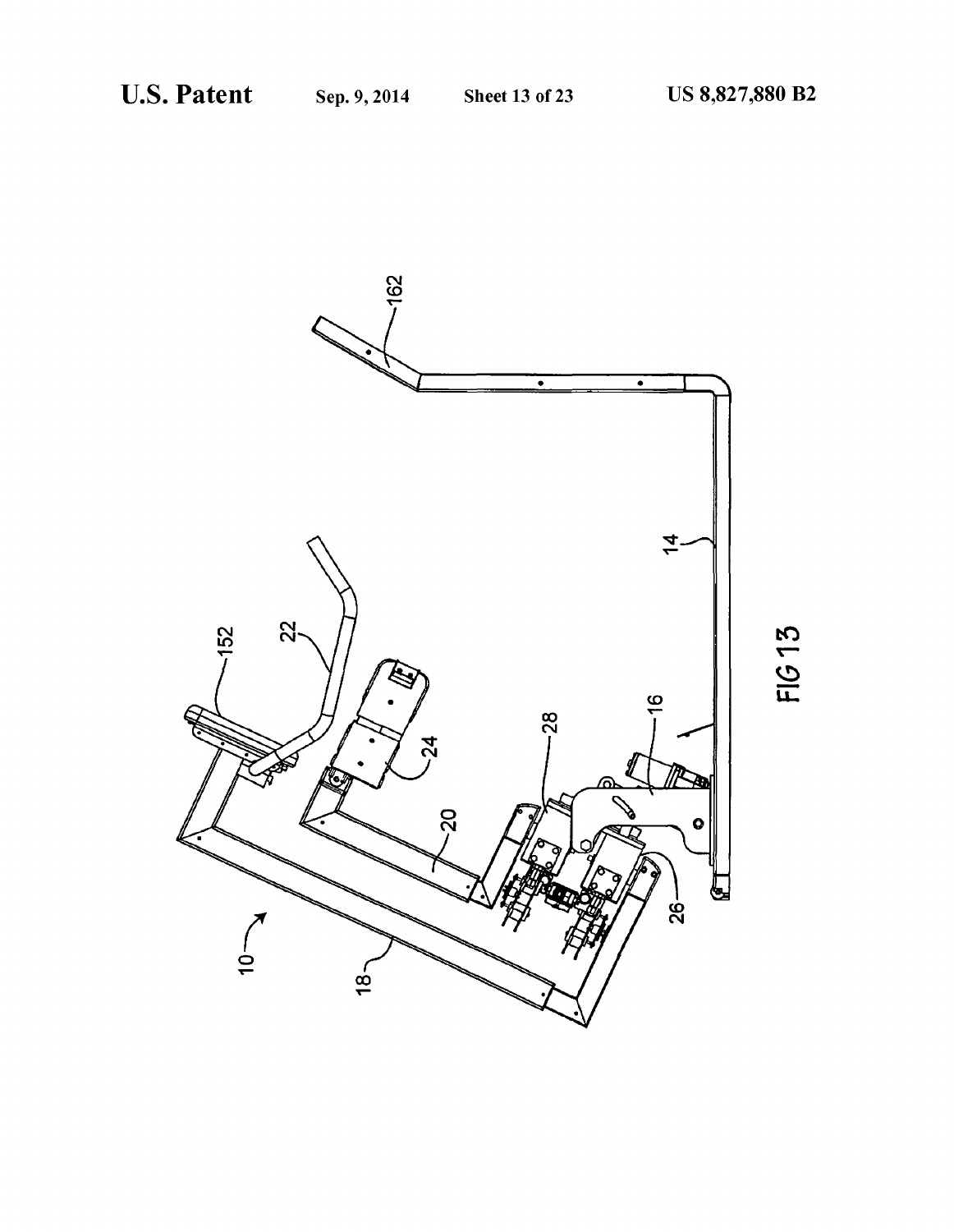![](_page_13_Picture_4.jpeg)

FIG 13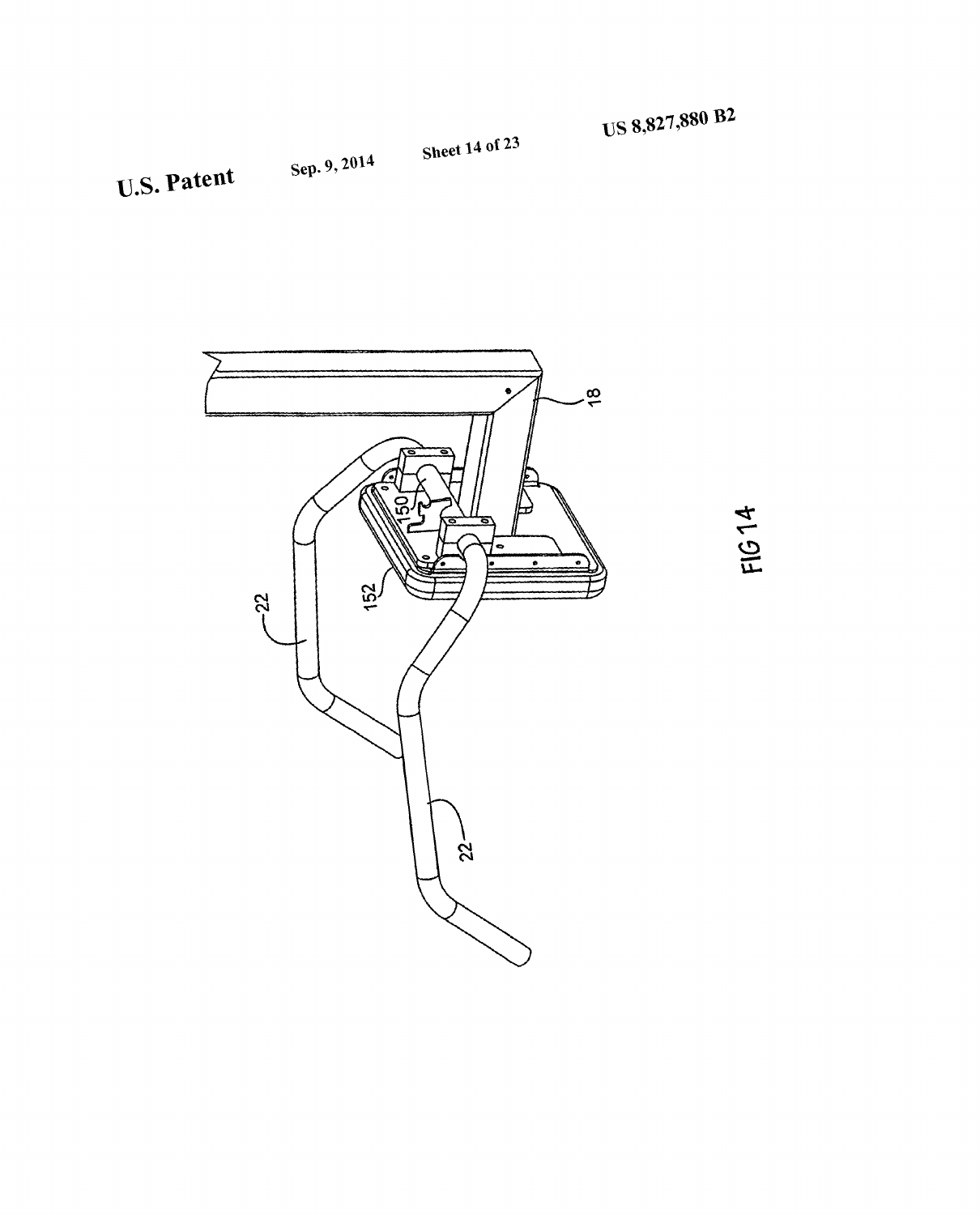Sheet 14 of 23

U.S. Patent Sep. 9, 2014

![](_page_14_Picture_3.jpeg)

FIG 14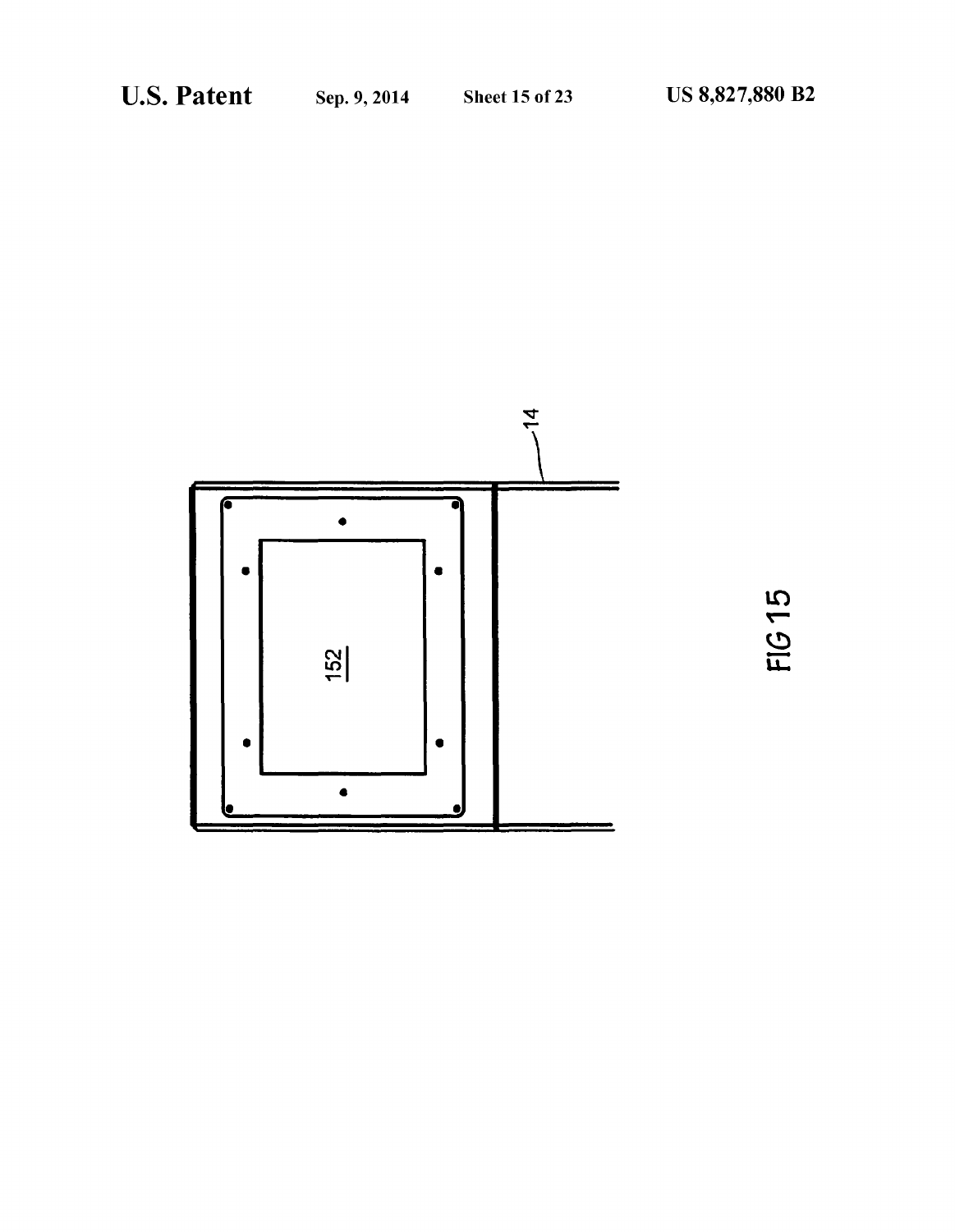![](_page_15_Figure_4.jpeg)

FIG 15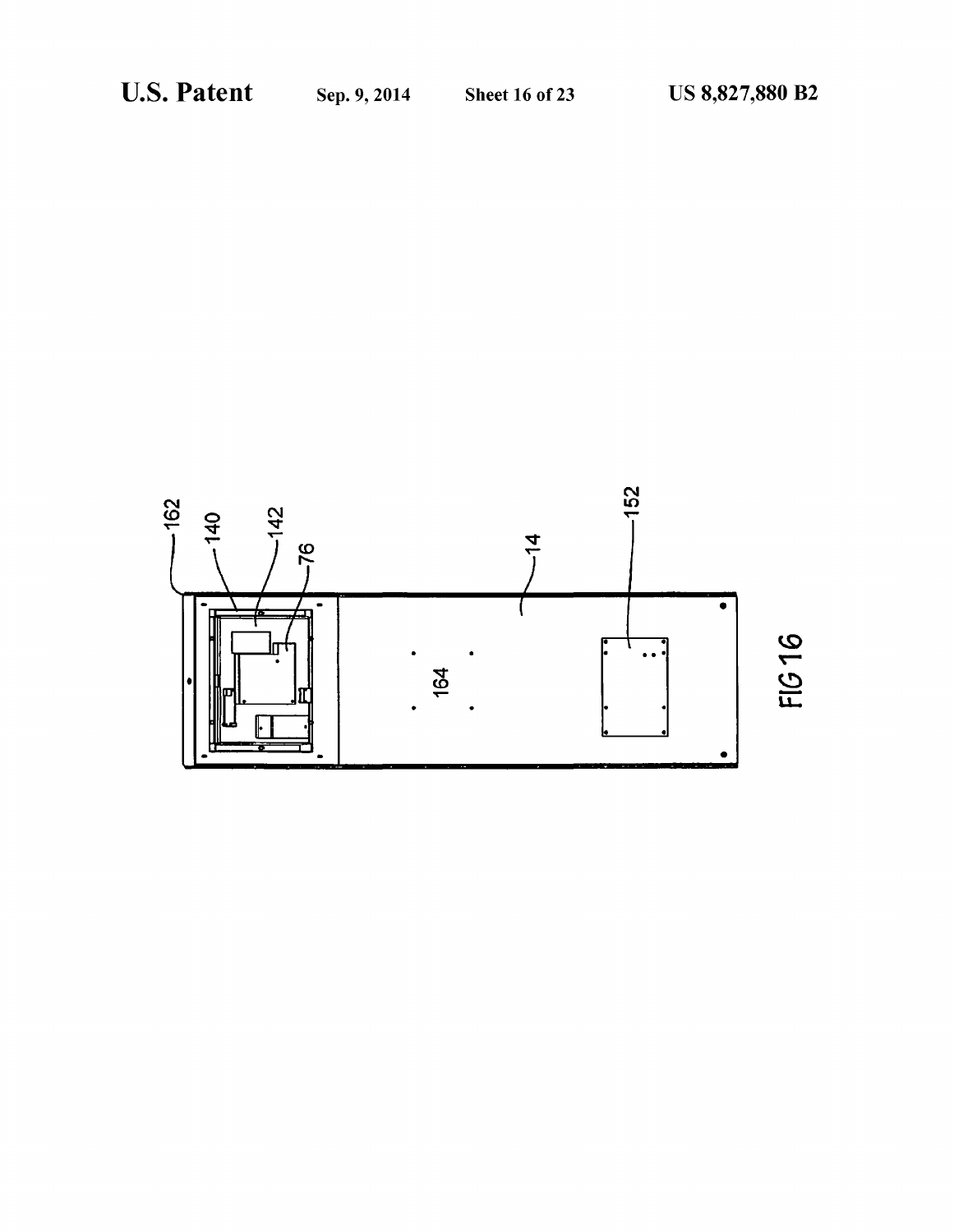![](_page_16_Figure_4.jpeg)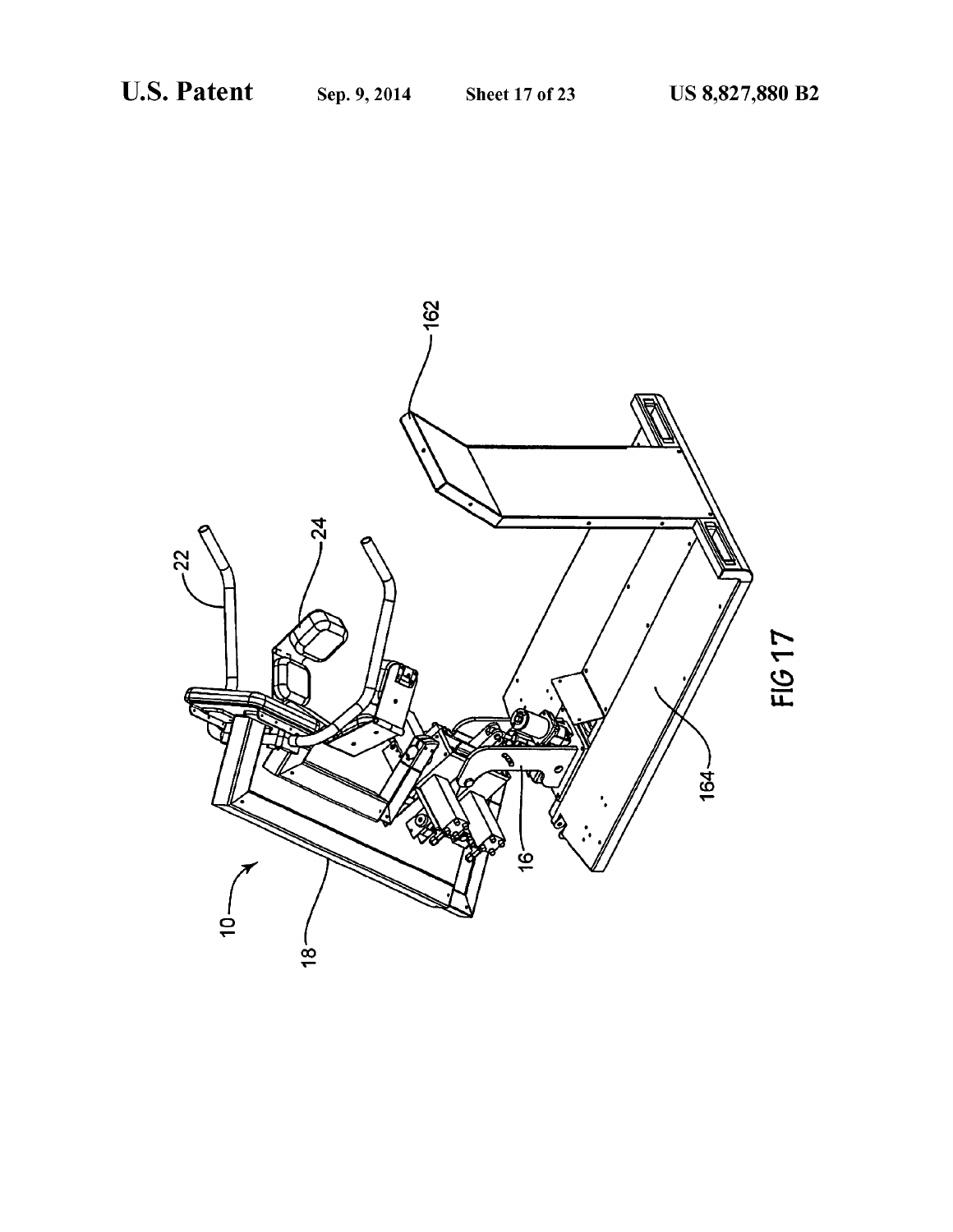![](_page_17_Picture_4.jpeg)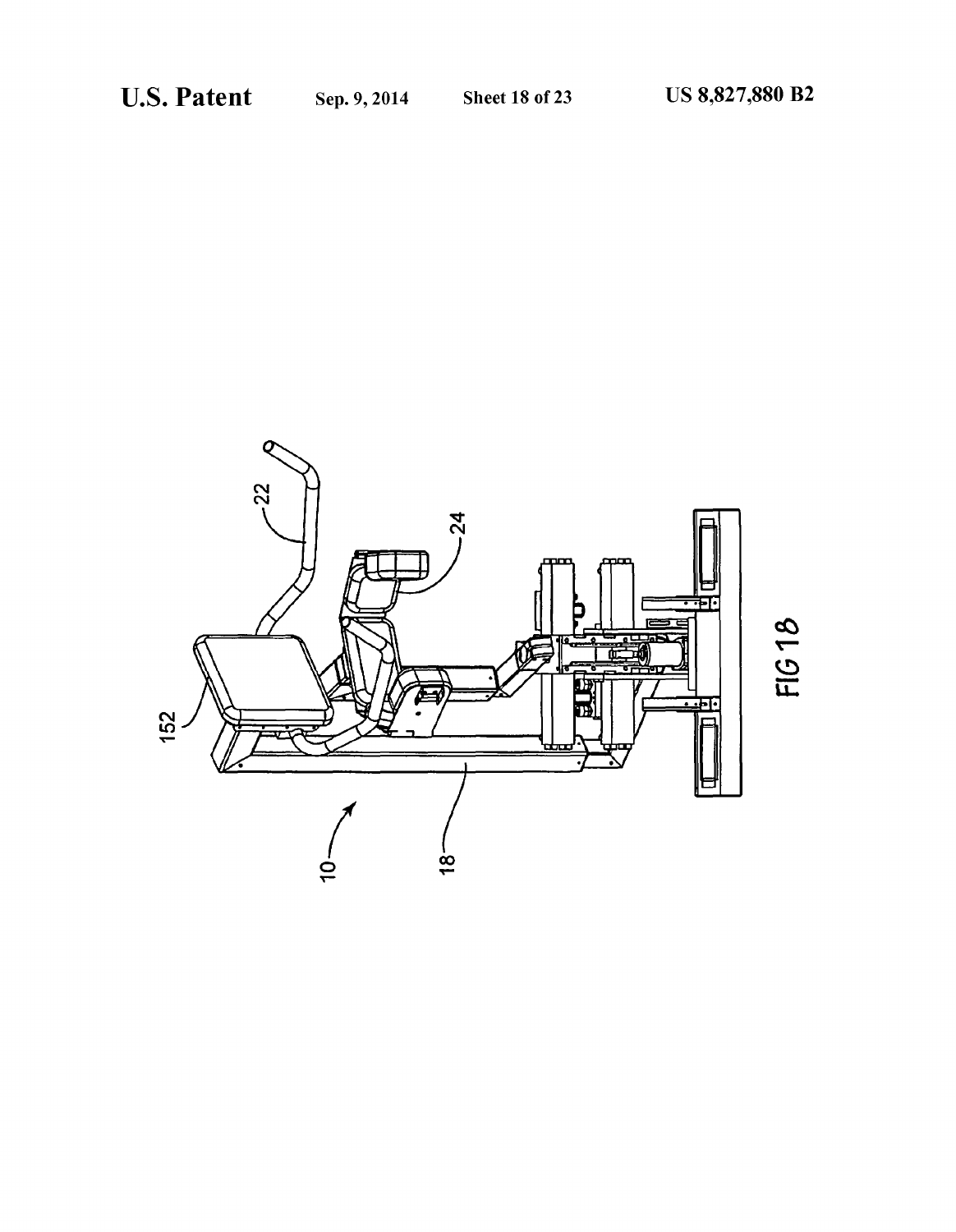![](_page_18_Picture_4.jpeg)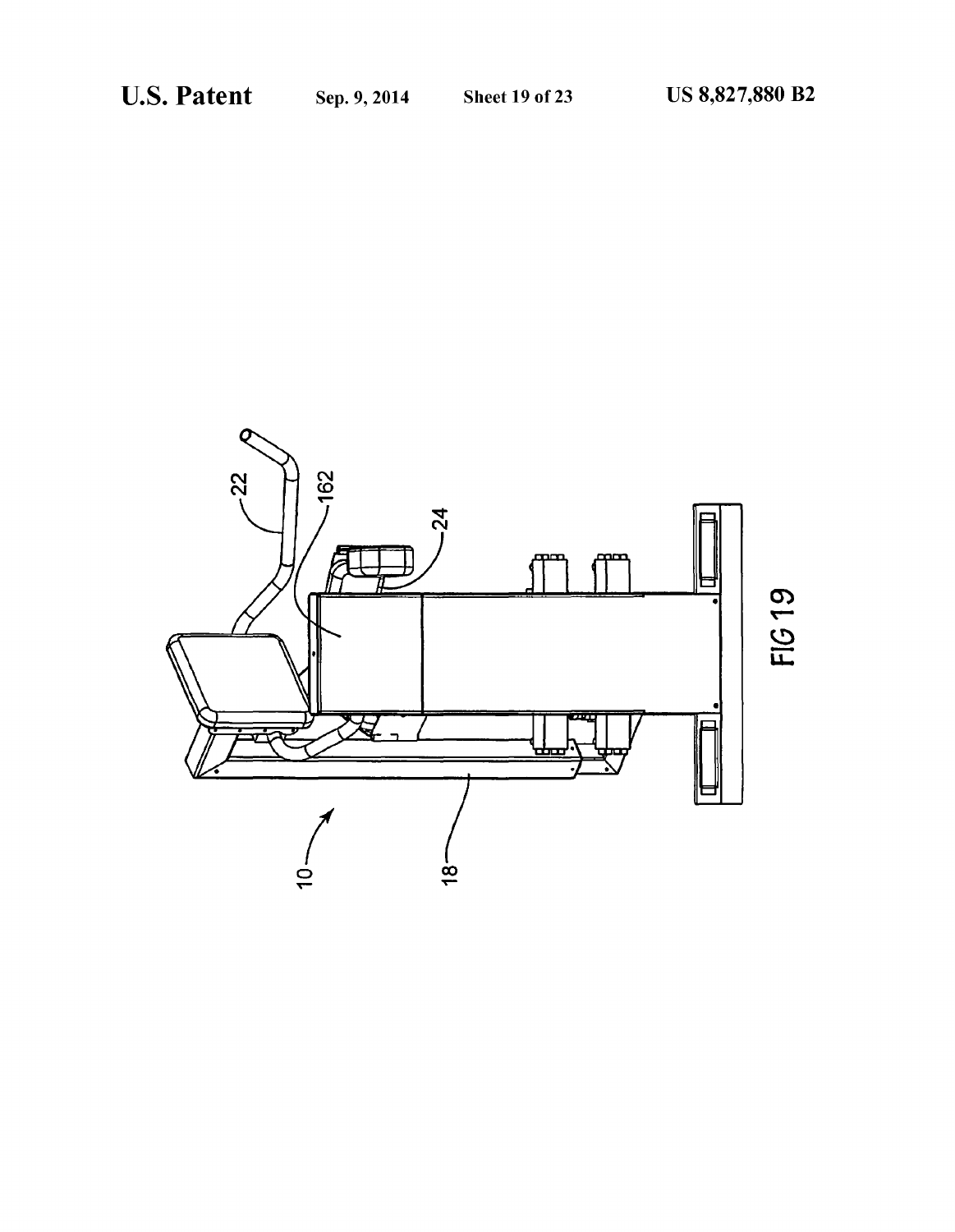![](_page_19_Figure_4.jpeg)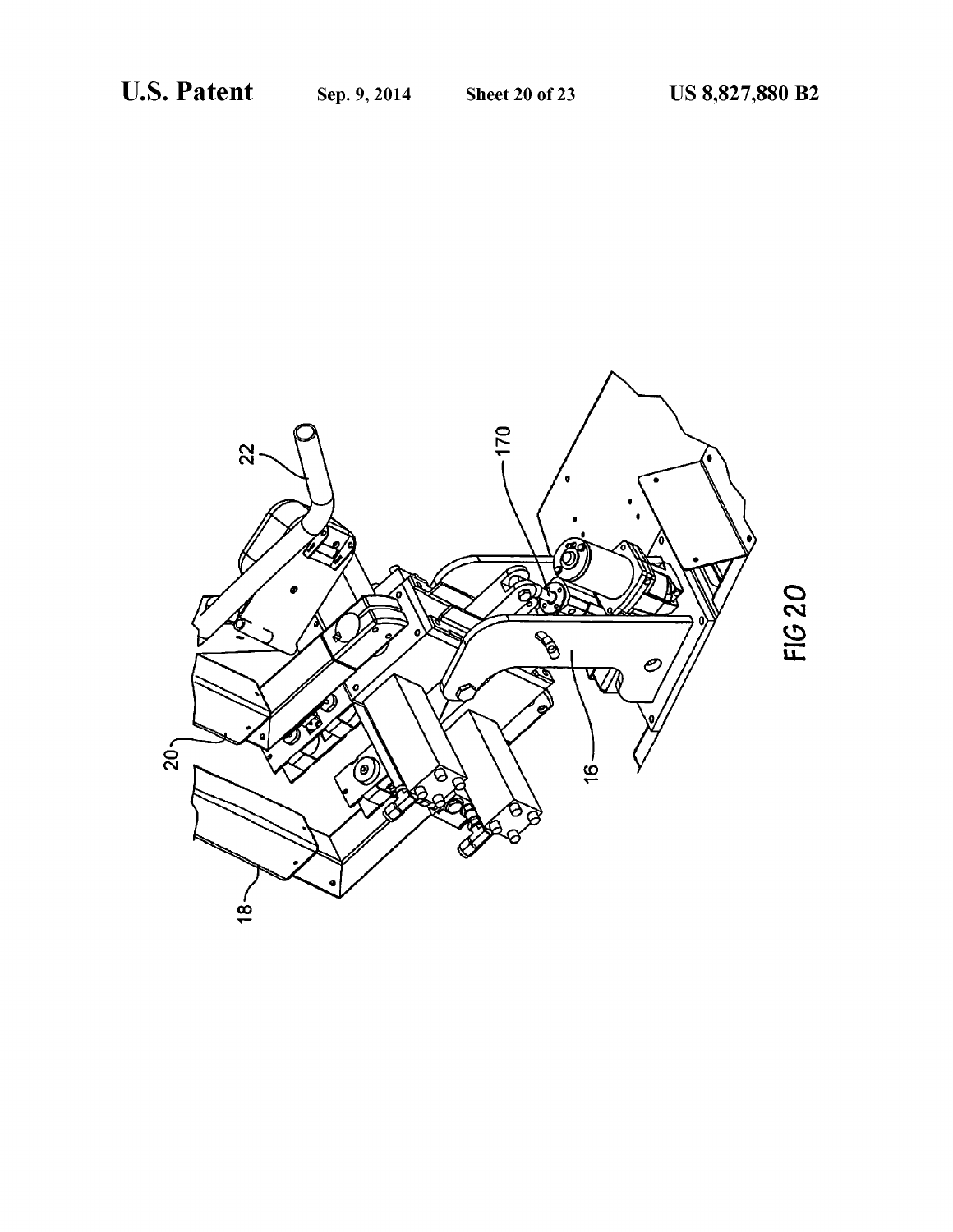![](_page_20_Picture_4.jpeg)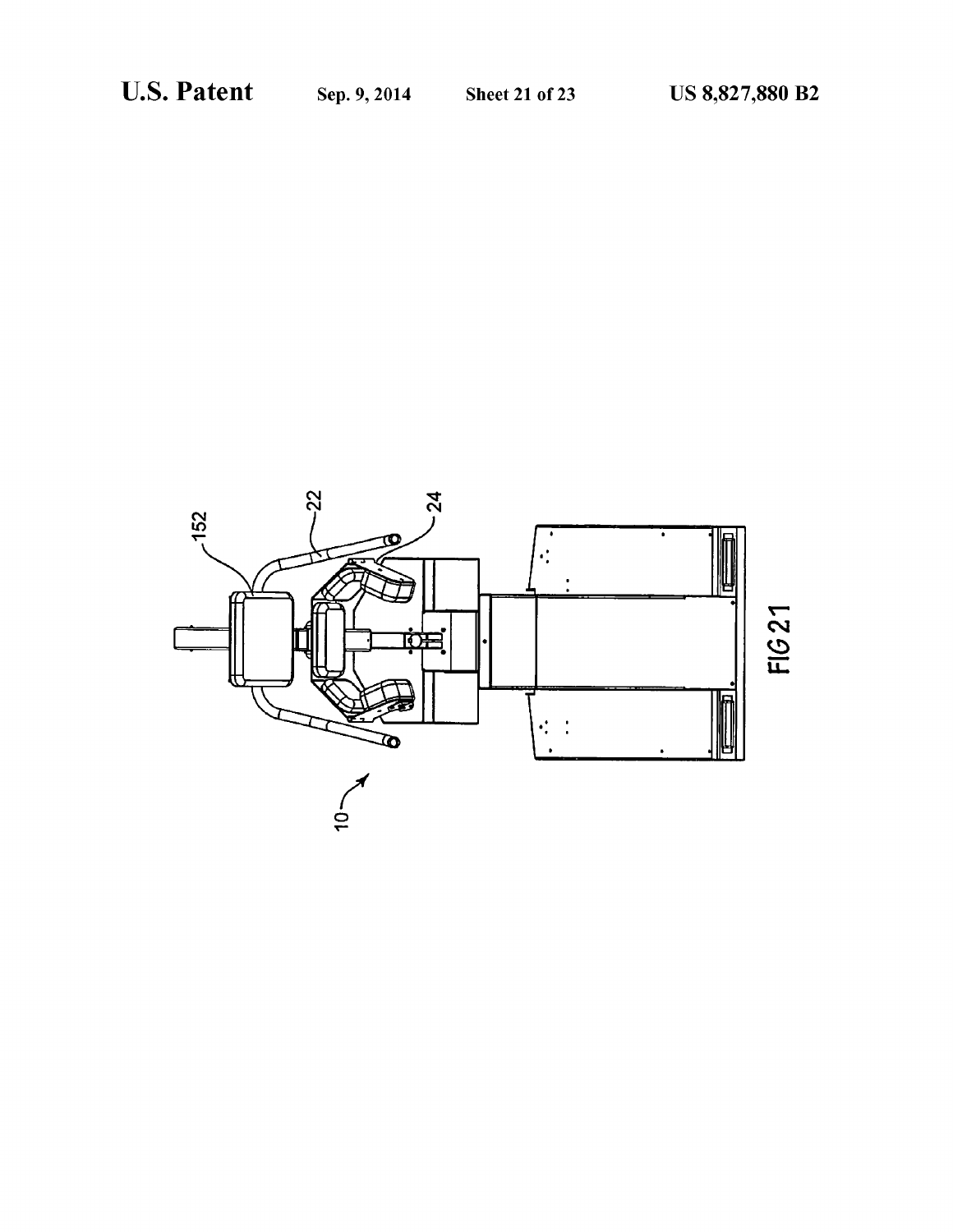![](_page_21_Figure_4.jpeg)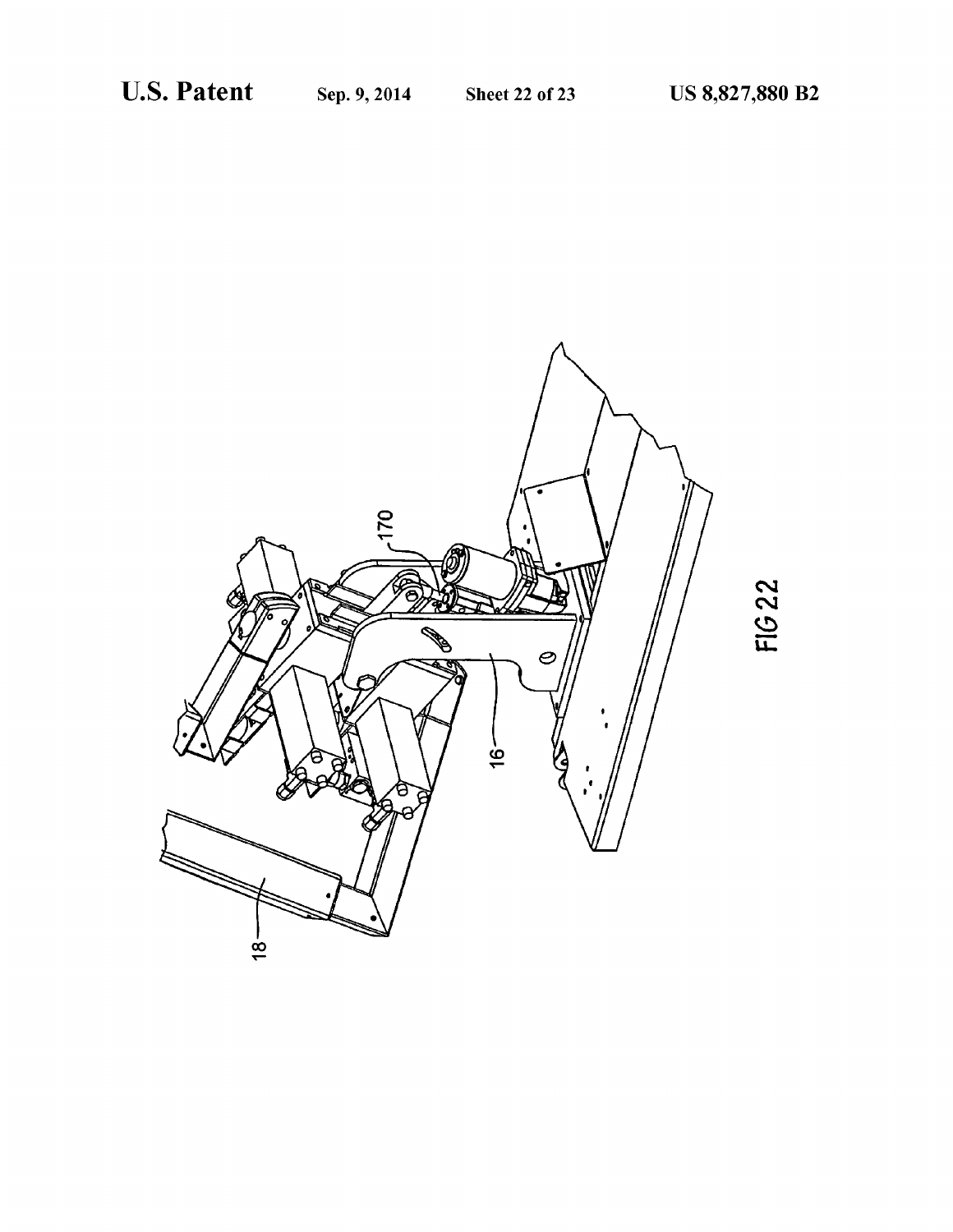![](_page_22_Picture_4.jpeg)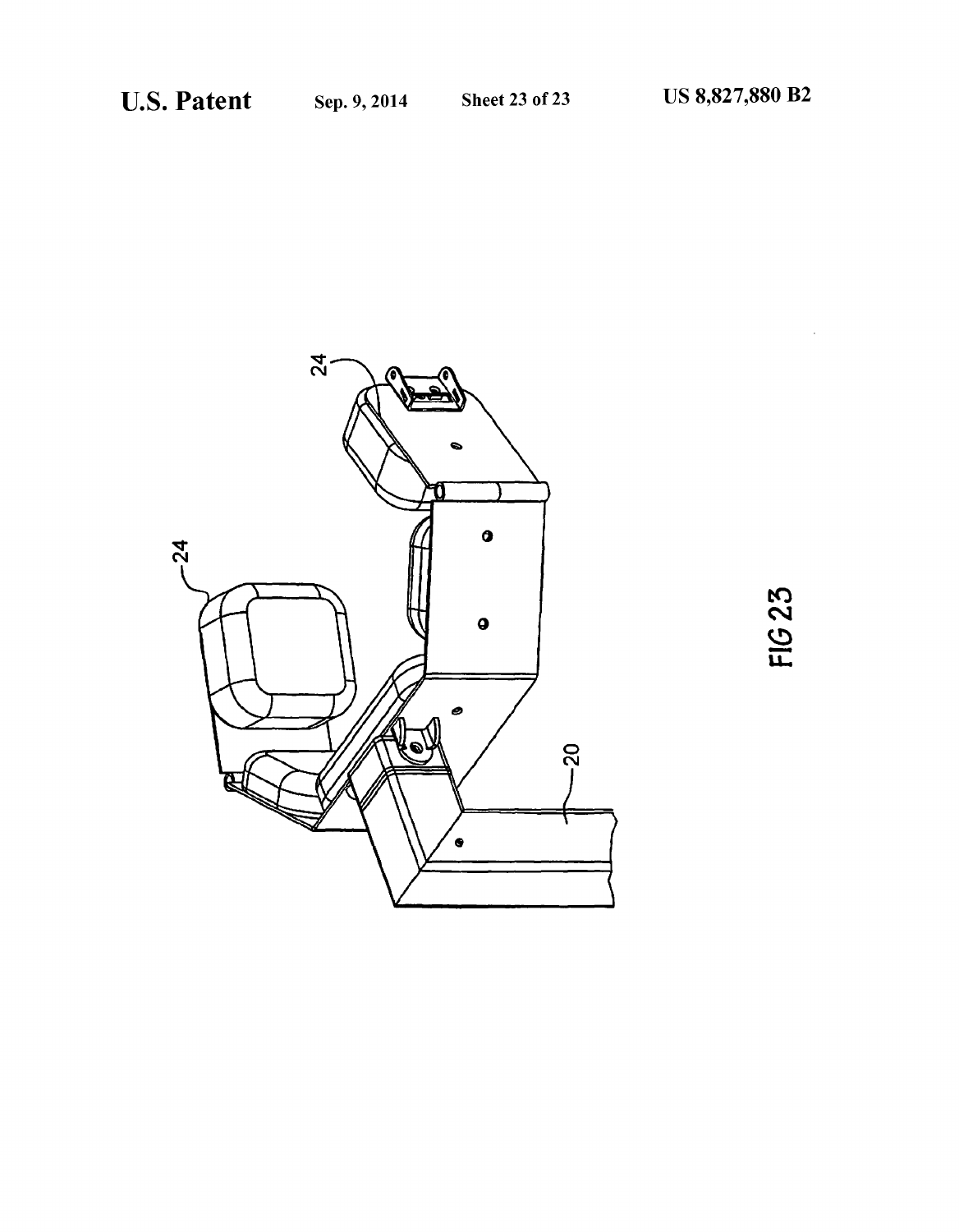![](_page_23_Picture_4.jpeg)

![](_page_23_Figure_5.jpeg)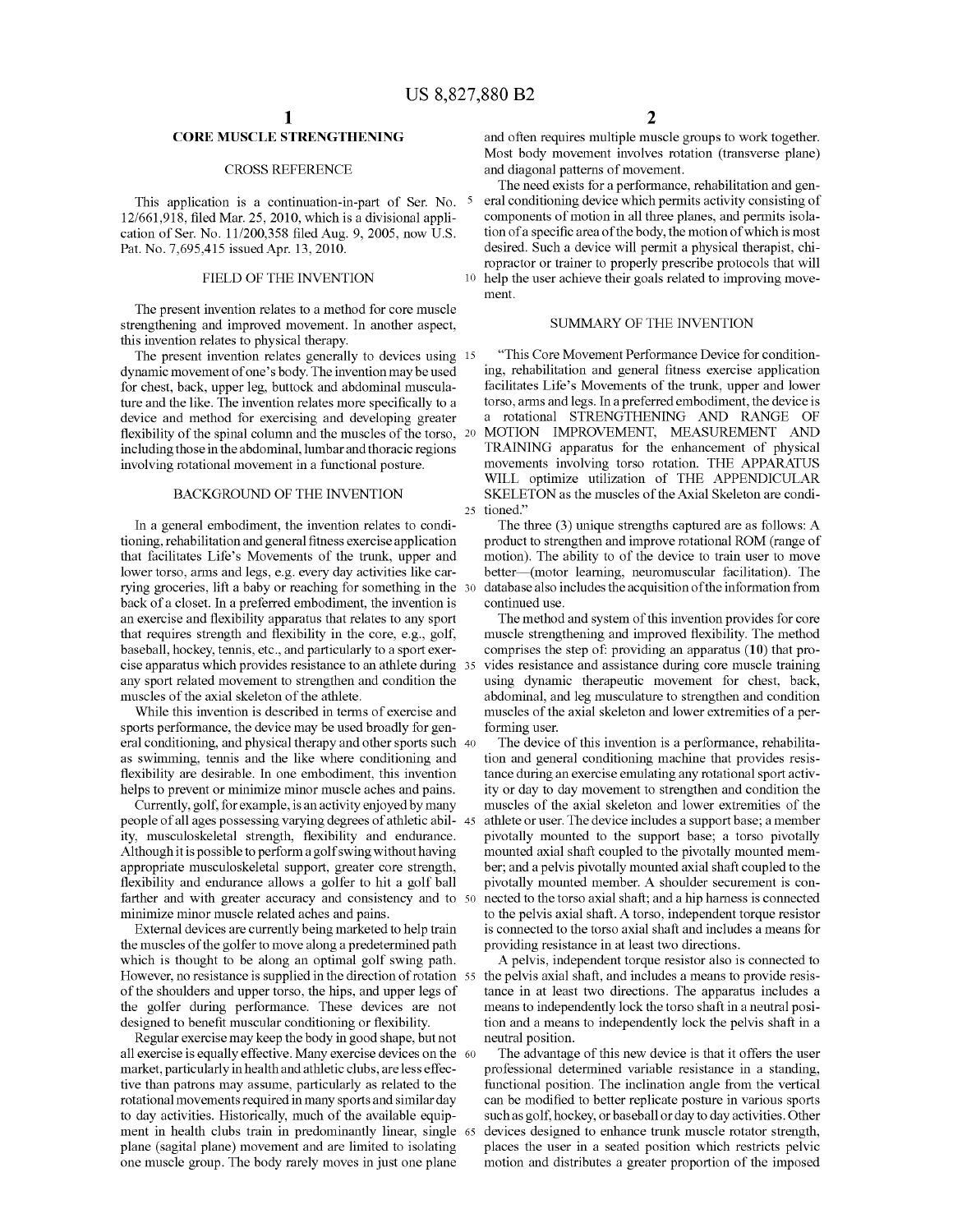### **CORE MUSCLE STRENGTHENING**

### CROSS REFERENCE

This application is a continuation-in-part of Ser. No. 5 12/661,918, filed Mar. 25, 2010, which is a divisional application of Ser. No. 11/200,358 filed Aug. 9, 2005, now U.S. Pat. No. 7,695,415 issued Apr. 13, 2010.

The present invention relates to a method for core muscle strengthening and improved movement. In another aspect, this invention relates to physical therapy.

The present invention relates generally to devices using 15 dynamic movement of one's body. The invention may be used for chest, back, upper leg, buttock and abdominal musculature and the like. The invention relates more specifically to a device and method for exercising and developing greater flexibility of the spinal column and the muscles of the torso, 20 including those in the abdominal, lumbar and thoracic regions involving rotational movement in a functional posture.

### BACKGROUND OF THE INVENTION

In a general embodiment, the invention relates to conditioning, rehabilitation and general fitness exercise application that facilitates Life's Movements of the trunk, upper and lower torso, arms and legs, e.g. every day activities like carrying groceries, lift a baby or reaching for something in the 30 back of a closet. In a preferred embodiment, the invention is an exercise and flexibility apparatus that relates to any sport that requires strength and flexibility in the core, e.g., golf, baseball, hockey, tennis, etc., and particularly to a sport exercise apparatus which provides resistance to an athlete during any sport related movement to strengthen and condition the muscles of the axial skeleton of the athlete.

sports performance, the device may be used broadly for general conditioning, and physical therapy and other sports such 40 as swimming, tennis and the like where conditioning and flexibility are desirable. In one embodiment, this invention helps to prevent or minimize minor muscle aches and pains.

Currently, golf, for example, is an activity enjoyed by many people of all ages possessing varying degrees of athletic abil- <sup>45</sup> ity, musculoskeletal strength, flexibility and endurance. Although it is possible to perform a golf swing without having appropriate musculoskeletal support, greater core strength, flexibility and endurance allows a golfer to hit a golf ball farther and with greater accuracy and consistency and to 50 minimize minor muscle related aches and pains.

External devices are currently being marketed to help train the muscles of the golfer to move along a predetermined path which is thought to be along an optimal golf swing path. However, no resistance is supplied in the direction of rotation 55 of the shoulders and upper torso, the hips, and upper legs of the golfer during performance. These devices are not designed to benefit muscular conditioning or flexibility.

Regular exercise may keep the body in good shape, but not all exercise is equally effective. Many exercise devices on the 60 market, particularly in health and athletic clubs, are less effective than patrons may assume, particularly as related to the rotational movements required in many sports and similar day to day activities. Historically, much of the available equipment in health clubs train in predominantly linear, single 65 plane (sagital plane) movement and are limited to isolating one muscle group. The body rarely moves in just one plane

and often requires multiple muscle groups to work together. Most body movement involves rotation (transverse plane) and diagonal patterns of movement.

The need exists for a performance, rehabilitation and general conditioning device which permits activity consisting of components of motion in all three planes, and permits isolation of a specific area of the body, the motion of which is most desired. Such a device will permit a physical therapist, chiropractor or trainer to properly prescribe protocols that will FIELD OF THE INVENTION 10 help the user achieve their goals related to improving movement.

### SUMMARY OF THE INVENTION

"This Core Movement Performance Device for conditioning, rehabilitation and general fitness exercise application facilitates Life's Movements of the trunk, upper and lower torso, arms and legs. In a preferred embodiment, the device is a rotational STRENGTHENING AND RANGE OF MOTION IMPROVEMENT, MEASUREMENT AND TRAINING apparatus for the enhancement of physical movements involving torso rotation. THE APPARATUS WILL optimize utilization of THE APPENDICULAR SKELETON as the muscles of the Axial Skeleton are condi-25 tioned."

The three (3) unique strengths captured are as follows: A product to strengthen and improve rotational ROM (range of motion). The ability to of the device to train user to move better---(motor learning, neuromuscular facilitation). The database also includes the acquisition of the information from continued use.

The method and system of this invention provides for core muscle strengthening and improved flexibility. The method comprises the step of: providing an apparatus **(10)** that provides resistance and assistance during core muscle training using dynamic therapeutic movement for chest, back, abdominal, and leg musculature to strengthen and condition While this invention is described in terms of exercise and muscles of the axial skeleton and lower extremities of a performing user.

> The device of this invention is a performance, rehabilitation and general conditioning machine that provides resistance during an exercise emulating any rotational sport activity or day to day movement to strengthen and condition the muscles of the axial skeleton and lower extremities of the athlete or user. The device includes a support base; a member pivotally mounted to the support base; a torso pivotally mounted axial shaft coupled to the pivotally mounted member; and a pelvis pivotally mounted axial shaft coupled to the pivotally mounted member. A shoulder securement is connected to the torso axial shaft; and a hip harness is connected to the pelvis axial shaft. A torso, independent torque resistor is connected to the torso axial shaft and includes a means for providing resistance in at least two directions.

> A pelvis, independent torque resistor also is connected to the pelvis axial shaft, and includes a means to provide resistance in at least two directions. The apparatus includes a means to independently lock the torso shaft in a neutral position and a means to independently lock the pelvis shaft in a neutral position.

> The advantage of this new device is that it offers the user professional determined variable resistance in a standing, functional position. The inclination angle from the vertical can be modified to better replicate posture in various sports such as golf, hockey, or baseball or day to day activities. Other devices designed to enhance trunk muscle rotator strength, places the user in a seated position which restricts pelvic motion and distributes a greater proportion of the imposed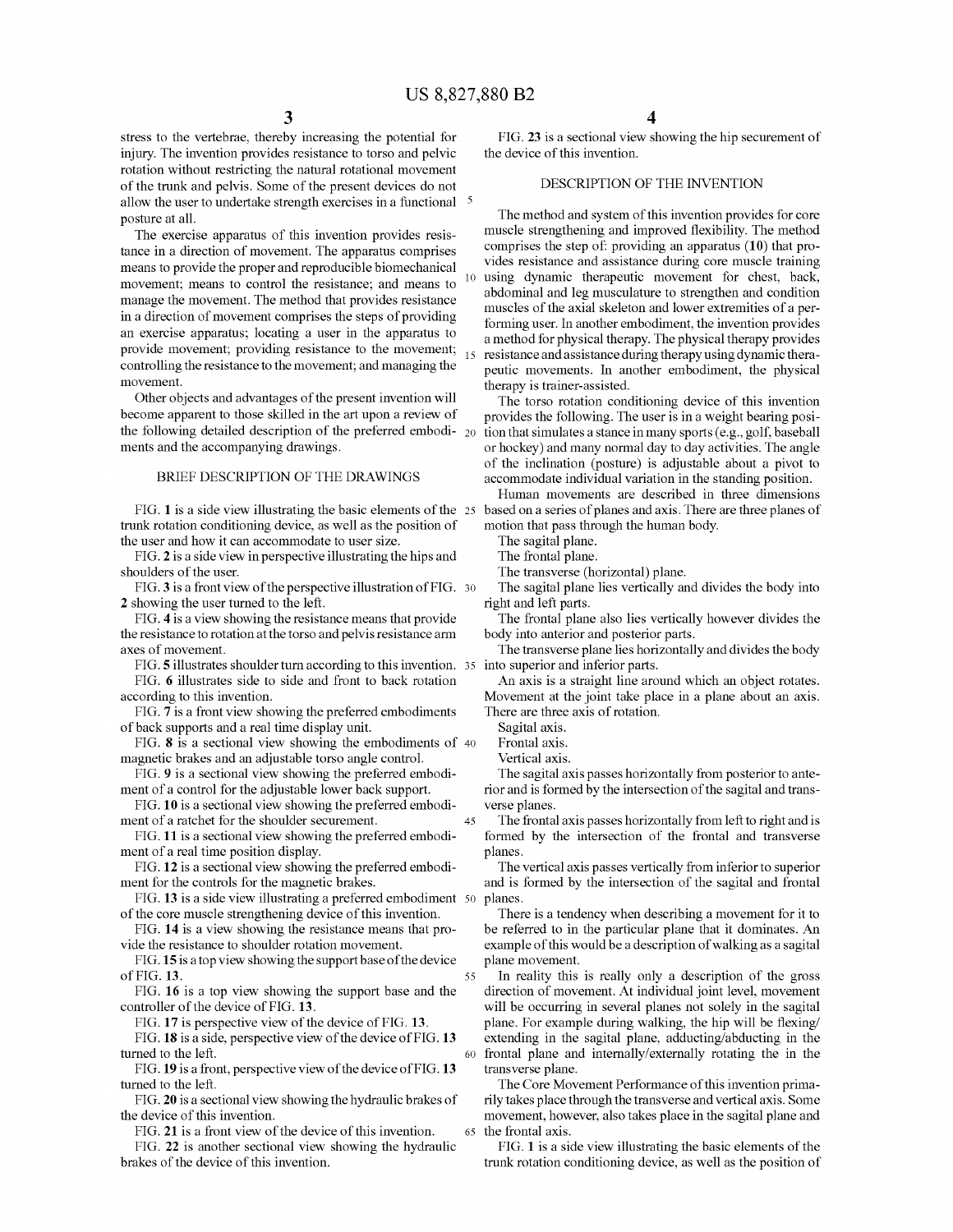stress to the vertebrae, thereby increasing the potential for injury. The invention provides resistance to torso and pelvic rotation without restricting the natural rotational movement of the trunk and pelvis. Some of the present devices do not allow the user to undertake strength exercises in a functional  $\frac{5}{ }$ posture at all.

The exercise apparatus of this invention provides resistance in a direction of movement. The apparatus comprises means to provide the proper and reproducible biomechanical movement; means to control the resistance; and means to manage the movement. The method that provides resistance in a direction of movement comprises the steps of providing an exercise apparatus; locating a user in the apparatus to provide movement; providing resistance to the movement; controlling the resistance to the movement; and managing the movement.

Other objects and advantages of the present invention will become apparent to those skilled in the art upon a review of the following detailed description of the preferred embodi- $_{20}$ ments and the accompanying drawings.

#### BRIEF DESCRIPTION OF THE DRAWINGS

trunk rotation conditioning device, as well as the position of the user and how it can accommodate to user size.

FIG. **2** is a side view in perspective illustrating the hips and shoulders of the user.

FIG. **3** is a front view of the perspective illustration of FIG. 30 **2** showing the user turned to the left.

FIG. **4** is a view showing the resistance means that provide the resistance to rotation at the torso and pelvis resistance arm axes of movement.

FIG. **5** illustrates shoulder tum according to this invention. 35 into superior and inferior parts. FIG. **6** illustrates side to side and front to back rotation

according to this invention.

FIG. **7** is a front view showing the preferred embodiments of back supports and a real time display unit.

FIG. **8** is a sectional view showing the embodiments of 40 magnetic brakes and an adjustable torso angle control.

FIG. **9** is a sectional view showing the preferred embodiment of a control for the adjustable lower back support.

**FIG.10** is a sectional view showing the preferred embodiment of a ratchet for the shoulder securement.

**FIG.11** is a sectional view showing the preferred embodiment of a real time position display.

FIG. **12** is a sectional view showing the preferred embodiment for the controls for the magnetic brakes.

FIG. 13 is a side view illustrating a preferred embodiment 50 of the core muscle strengthening device of this invention.

FIG. **14** is a view showing the resistance means that provide the resistance to shoulder rotation movement.

**FIG.15** is a top view showing the support base of the device of FIG. **13.** 

FIG. **16** is a top view showing the support base and the controller of the device of FIG. **13.** 

FIG. **17** is perspective view of the device of FIG. **13.** 

FIG. **18** is a side, perspective view of the device of FIG. **13**  turned to the left.

FIG. **19** is a front, perspective view of the device of FIG. **13**  turned to the left.

FIG. **20** is a sectional view showing the hydraulic brakes of the device of this invention.

FIG. **21** is a front view of the device of this invention. FIG. **22** is another sectional view showing the hydraulic brakes of the device of this invention.

FIG. **23** is a sectional view showing the hip securement of the device of this invention.

### DESCRIPTION OF THE INVENTION

The method and system of this invention provides for core muscle strengthening and improved flexibility. The method comprises the step of: providing an apparatus **(10)** that provides resistance and assistance during core muscle training using dynamic therapeutic movement for chest, back, abdominal and leg musculature to strengthen and condition muscles of the axial skeleton and lower extremities of a performing user. In another embodiment, the invention provides a method for physical therapy. The physical therapy provides resistance and assistance during therapy using dynamic therapeutic movements. In another embodiment, the physical therapy is trainer-assisted.

The torso rotation conditioning device of this invention provides the following. The user is in a weight bearing position that simulates a stance in many sports (e.g., golf, baseball or hockey) and many normal day to day activities. The angle of the inclination (posture) is adjustable about a pivot to accommodate individual variation in the standing position.

FIG. 1 is a side view illustrating the basic elements of the 25 based on a series of planes and axis. There are three planes of Human movements are described in three dimensions motion that pass through the human body.

The sagital plane.

The frontal plane.

The transverse (horizontal) plane.

The sagital plane lies vertically and divides the body into right and left parts.

The frontal plane also lies vertically however divides the body into anterior and posterior parts.

The transverse plane lies horizontally and divides the body

An axis is a straight line around which an object rotates. Movement at the joint take place in a plane about an axis. There are three axis of rotation.

Sagital axis.

Frontal axis.

Vertical axis.

45

55

The sagital axis passes horizontally from posterior to anterior and is formed by the intersection of the sagital and transverse planes.

The frontal axis passes horizontally from left to right and is formed by the intersection of the frontal and transverse planes.

The vertical axis passes vertically from inferior to superior and is formed by the intersection of the sagital and frontal planes.

There is a tendency when describing a movement for it to be referred to in the particular plane that it dominates. An example of this would be a description of walking as a sagital plane movement.

In reality this is really only a description of the gross direction of movement. At individual joint level, movement will be occurring in several planes not solely in the sagital plane. For example during walking, the hip will be flexing/ extending in the sagital plane, adducting/abducting in the 60 frontal plane and internally/externally rotating the in the transverse plane.

The Core Movement Performance of this invention primarily takes place through the transverse and vertical axis. Some movement, however, also takes place in the sagital plane and 65 the frontal axis.

FIG. **1** is a side view illustrating the basic elements of the trunk rotation conditioning device, as well as the position of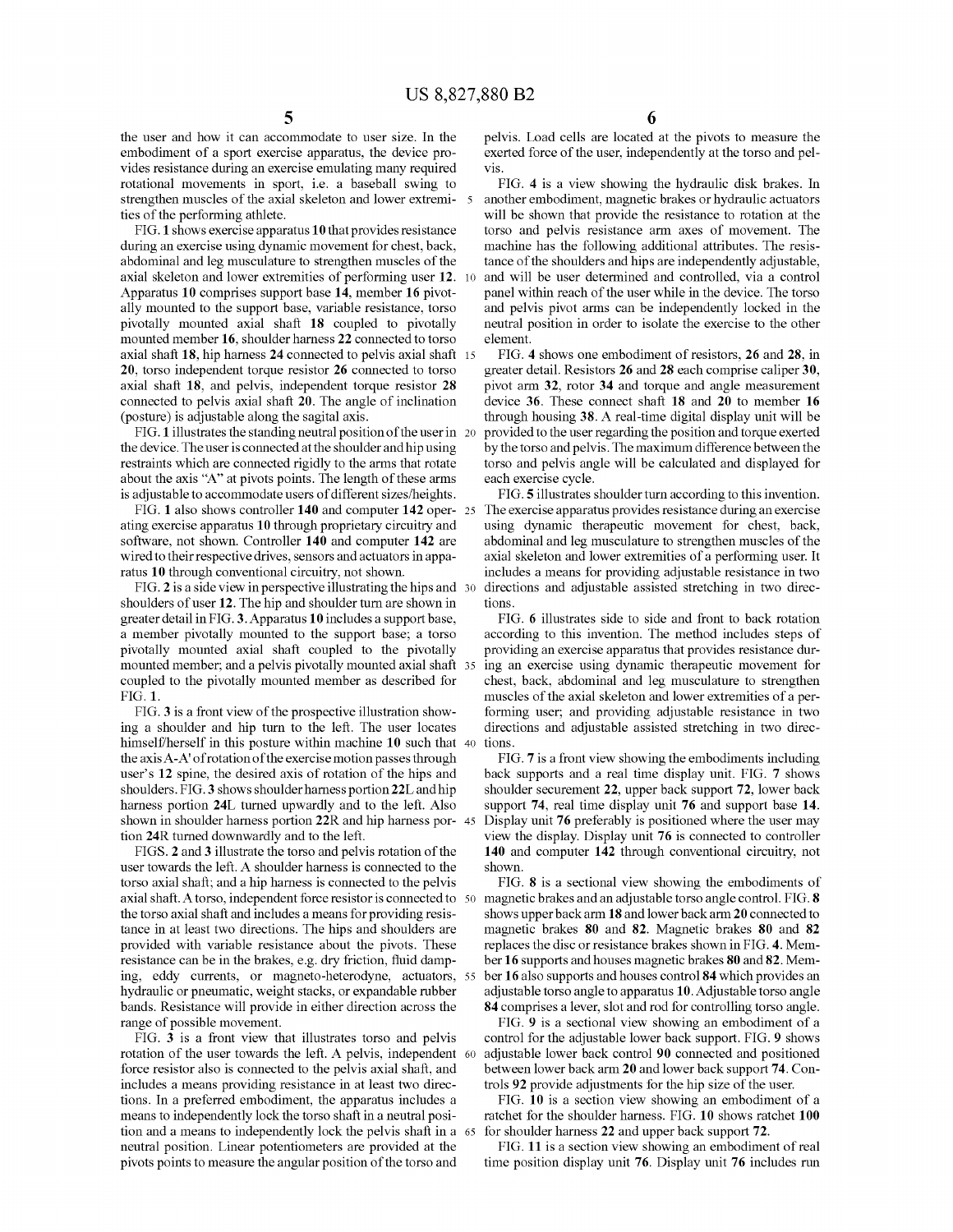the user and how it can accommodate to user size. In the embodiment of a sport exercise apparatus, the device provides resistance during an exercise emulating many required rotational movements in sport, i.e. a baseball swing to strengthen muscles of the axial skeleton and lower extremi- <sup>5</sup> ties of the performing athlete.

FIG. **1** shows exercise apparatus **10** that provides resistance during an exercise using dynamic movement for chest, back, abdominal and leg musculature to strengthen muscles of the axial skeleton and lower extremities of performing user **12.** <sup>10</sup> Apparatus **10** comprises support base **14,** member **16** pivotally mounted to the support base, variable resistance, torso pivotally mounted axial shaft **18** coupled to pivotally mounted member **16,** shoulder harness **22** connected to torso axial shaft **18,** hip harness **24** connected to pelvis axial shaft 15 **20,** torso independent torque resistor **26** connected to torso axial shaft **18,** and pelvis, independent torque resistor **28**  connected to pelvis axial shaft **20.** The angle of inclination (posture) is adjustable along the sagital axis.

FIG. **1** illustrates the standing neutral position of the user in 20 the device. The user is connected at the shoulder and hip using restraints which are connected rigidly to the arms that rotate about the axis "A" at pivots points. The length of these arms is adjustable to accommodate users of different sizes/heights.

FIG. 1 also shows controller 140 and computer 142 oper- 25 ating exercise apparatus **10** through proprietary circuitry and software, not shown. Controller **140** and computer **142** are wired to their respective drives, sensors and actuators in apparatus **10** through conventional circuitry, not shown.

FIG. **2** is a side view in perspective illustrating the hips and 30 shoulders of user **12.** The hip and shoulder tum are shown in greater detail in FIG. **3.** Apparatus **10** includes a support base, a member pivotally mounted to the support base; a torso pivotally mounted axial shaft coupled to the pivotally mounted member; and a pelvis pivotally mounted axial shaft 35 coupled to the pivotally mounted member as described for FIG. **1.** 

FIG. **3** is a front view of the prospective illustration showing a shoulder and hip turn to the left. The user locates himself/herself in this posture within machine **10** such that the axis A-A' ofrotation of the exercise motion passes through user's **12** spine, the desired axis of rotation of the hips and shoulders. FIG. **3** shows shoulder harness portion22L and hip harness portion **24L** turned upwardly and to the left. Also shown in shoulder harness portion **22R** and hip harness portion **24R** turned downwardly and to the left.

FIGS. **2** and **3** illustrate the torso and pelvis rotation of the user towards the left. A shoulder harness is connected to the torso axial shaft; and a hip harness is connected to the pelvis axial shaft. A torso, independent force resistor is connected to the torso axial shaft and includes a means for providing resistance in at least two directions. The hips and shoulders are provided with variable resistance about the pivots. These resistance can be in the brakes, e.g. dry friction, fluid damping, eddy currents, or magneto-heterodyne, actuators, hydraulic or pneumatic, weight stacks, or expandable rubber bands. Resistance will provide in either direction across the range of possible movement.

FIG. **3** is a front view that illustrates torso and pelvis rotation of the user towards the left. A pelvis, independent 60 force resistor also is connected to the pelvis axial shaft, and includes a means providing resistance in at least two directions. In a preferred embodiment, the apparatus includes a means to independently lock the torso shaft in a neutral position and a means to independently lock the pelvis shaft in a 65 neutral position. Linear potentiometers are provided at the pivots points to measure the angular position of the torso and

**6** 

pelvis. Load cells are located at the pivots to measure the exerted force of the user, independently at the torso and pelvis.

FIG. **4** is a view showing the hydraulic disk brakes. In another embodiment, magnetic brakes or hydraulic actuators will be shown that provide the resistance to rotation at the torso and pelvis resistance arm axes of movement. The machine has the following additional attributes. The resistance of the shoulders and hips are independently adjustable, and will be user determined and controlled, via a control panel within reach of the user while in the device. The torso and pelvis pivot arms can be independently locked in the neutral position in order to isolate the exercise to the other element.

FIG. **4** shows one embodiment of resistors, **26** and **28,** in greater detail. Resistors **26** and **28** each comprise caliper **30,**  pivot arm **32,** rotor **34** and torque and angle measurement device **36.** These connect shaft **18** and **20** to member **16**  through housing **38.** A real-time digital display unit will be provided to the user regarding the position and torque exerted by the torso and pelvis. The maximum difference between the torso and pelvis angle will be calculated and displayed for each exercise cycle.

FIG. **5** illustrates shoulder turn according to this invention. The exercise apparatus provides resistance during an exercise using dynamic therapeutic movement for chest, back, abdominal and leg musculature to strengthen muscles of the axial skeleton and lower extremities of a performing user. It includes a means for providing adjustable resistance in two directions and adjustable assisted stretching in two directions.

FIG. **6** illustrates side to side and front to back rotation according to this invention. The method includes steps of providing an exercise apparatus that provides resistance during an exercise using dynamic therapeutic movement for chest, back, abdominal and leg musculature to strengthen muscles of the axial skeleton and lower extremities of a performing user; and providing adjustable resistance in two directions and adjustable assisted stretching in two directions.

FIG. **7** is a front view showing the embodiments including back supports and a real time display unit. FIG. **7** shows shoulder securement **22,** upper back support **72,** lower back support **74,** real time display unit **76** and support base **14.**  45 Display unit **76** preferably is positioned where the user may view the display. Display unit **76** is connected to controller **140** and computer **142** through conventional circuitry, not shown.

FIG. **8** is a sectional view showing the embodiments of 50 magnetic brakes and an adjustable torso angle control. FIG. **8**  shows upper back arm **18** and lower back arm **20** connected to magnetic brakes **80** and **82.** Magnetic brakes **80** and **82**  replaces the disc or resistance brakes shown in FIG. **4.** Member **16** supports and houses magnetic brakes **80 and 82.** Mem-55 ber **16** also supports and houses control **84** which provides an adjustable torso angle to apparatus **10.** Adjustable torso angle **84** comprises a lever, slot and rod for controlling torso angle.

FIG. **9** is a sectional view showing an embodiment of a control for the adjustable lower back support. FIG. **9** shows 60 adjustable lower back control **90** connected and positioned between lower back arm **20** and lower back support **74.** Controls **92** provide adjustments for the hip size of the user.

FIG. **10** is a section view showing an embodiment of a ratchet for the shoulder harness. FIG. **10** shows ratchet **100**  for shoulder harness **22** and upper back support **72.** 

FIG. 11 is a section view showing an embodiment of real time position display unit **76.** Display unit **76** includes run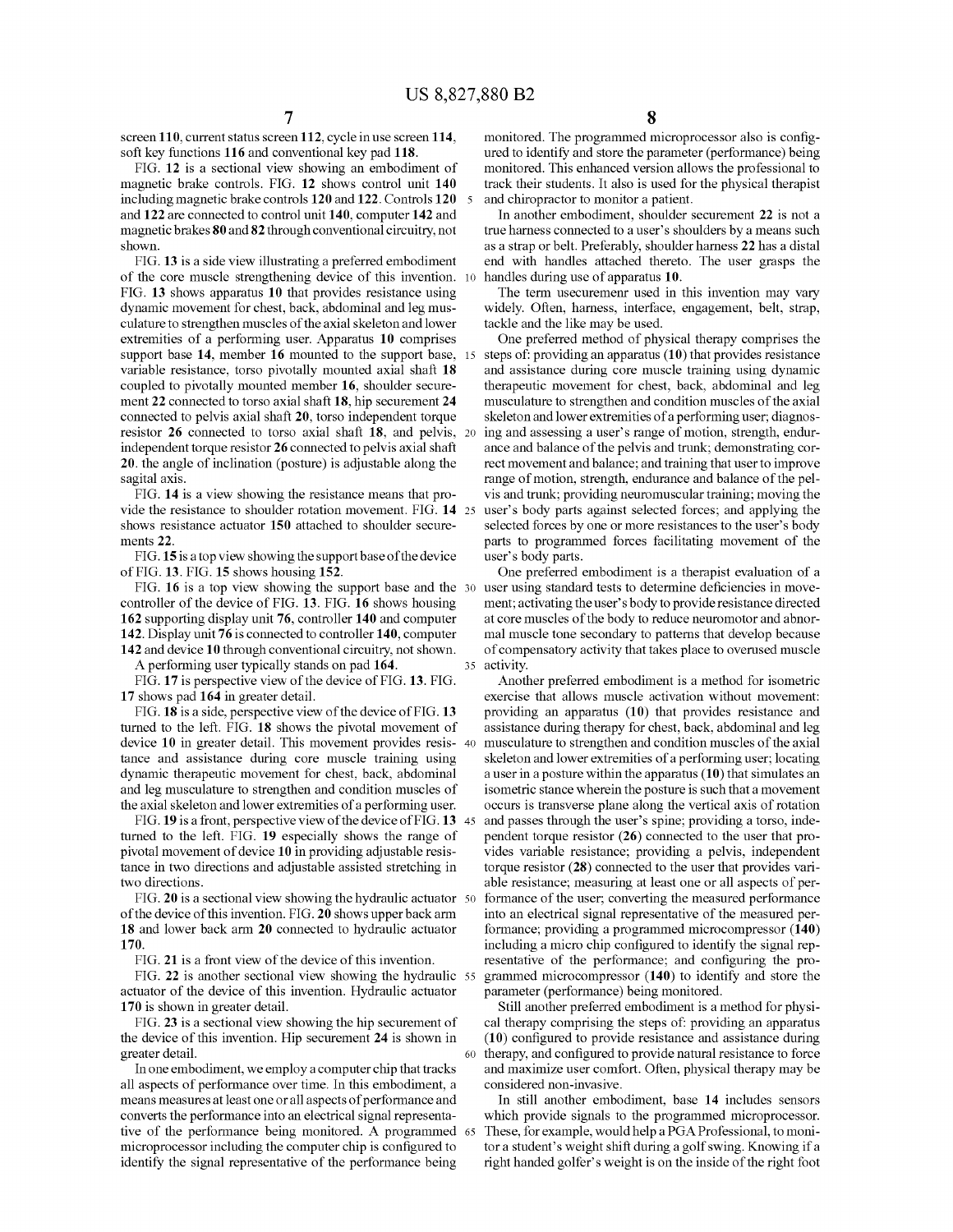screen **110,** current status screen **112,** cycle in use screen **114,**  soft key functions **116** and conventional key pad **118.** 

FIG. **12** is a sectional view showing an embodiment of magnetic brake controls. FIG. **12** shows control unit **140**  including magnetic brake controls **120 and 122.** Controls **120** 5 and **122** are connected to control unit **140,** computer **142** and magnetic brakes **80** and **82** through conventional circuitry, not shown.

FIG. **13** is a side view illustrating a preferred embodiment of the core muscle strengthening device of this invention. 10 FIG. **13** shows apparatus **10** that provides resistance using dynamic movement for chest, back, abdominal and leg musculature to strengthen muscles of the axial skeleton and lower extremities of a performing user. Apparatus **10** comprises support base **14,** member **16** mounted to the support base, 15 variable resistance, torso pivotally mounted axial shaft **18**  coupled to pivotally mounted member **16,** shoulder securement **22** connected to torso axial shaft **18,** hip securement **24**  connected to pelvis axial shaft **20,** torso independent torque resistor **26** connected to torso axial shaft **18,** and pelvis, 20 independent torque resistor **26** connected to pelvis axial shaft **20.** the angle of inclination (posture) is adjustable along the sagital axis.

FIG. **14** is a view showing the resistance means that provide the resistance to shoulder rotation movement. FIG. **14** 25 shows resistance actuator **150** attached to shoulder securements **22.** 

**FIG.15** is a top view showing the support base of the device of FIG. **13.** FIG. **15** shows housing **152.** 

FIG. **16** is a top view showing the support base and the 30 controller of the device of FIG. **13.** FIG. **16** shows housing **162** supporting display unit **76,** controller **140** and computer **142.** Display unit **76** is connected to controller **140,** computer **142** and device **10** through conventional circuitry, not shown.

A performing user typically stands on pad **164.** 

FIG. 17 is perspective view of the device of FIG. 13. FIG. **17** shows pad **164** in greater detail.

FIG. **18** is a side, perspective view of the device of FIG. **13**  turned to the left. FIG. **18** shows the pivotal movement of device **10** in greater detail. This movement provides resistance and assistance during core muscle training using dynamic therapeutic movement for chest, back, abdominal and leg musculature to strengthen and condition muscles of the axial skeleton and lower extremities of a performing user.

FIG. **19** is a front, perspective view of the device of FIG. **13**  turned to the left. FIG. **19** especially shows the range of pivotal movement of device **10** in providing adjustable resistance in two directions and adjustable assisted stretching in two directions.

FIG. **20** is a sectional view showing the hydraulic actuator of the device of this invention. FIG. **20** shows upper back arm **18** and lower back arm **20** connected to hydraulic actuator **170.** 

FIG. **21** is a front view of the device of this invention.

FIG. **22** is another sectional view showing the hydraulic actuator of the device of this invention. Hydraulic actuator **170** is shown in greater detail.

FIG. **23** is a sectional view showing the hip securement of the device of this invention. Hip securement **24** is shown in greater detail.

In one embodiment, we employ a computer chip that tracks all aspects of performance over time. In this embodiment, a means measures at least one or all aspects of performance and converts the performance into an electrical signal representative of the performance being monitored. A programmed 65 microprocessor including the computer chip is configured to identify the signal representative of the performance being

monitored. The programmed microprocessor also is configured to identify and store the parameter (performance) being monitored. This enhanced version allows the professional to track their students. It also is used for the physical therapist and chiropractor to monitor a patient.

In another embodiment, shoulder securement **22** is not a true harness connected to a user's shoulders by a means such as a strap or belt. Preferably, shoulder harness **22** has a distal end with handles attached thereto. The user grasps the handles during use of apparatus **10.** 

The term usecuremenr used in this invention may vary widely. Often, harness, interface, engagement, belt, strap, tackle and the like may be used.

One preferred method of physical therapy comprises the steps of: providing an apparatus **(10)** that provides resistance and assistance during core muscle training using dynamic therapeutic movement for chest, back, abdominal and leg musculature to strengthen and condition muscles of the axial skeleton and lower extremities of a performing user; diagnosing and assessing a user's range of motion, strength, endurance and balance of the pelvis and trunk; demonstrating correct movement and balance; and training that user to improve range of motion, strength, endurance and balance of the pelvis and trunk; providing neuromuscular training; moving the user's body parts against selected forces; and applying the selected forces by one or more resistances to the user's body parts to programmed forces facilitating movement of the user's body parts.

One preferred embodiment is a therapist evaluation of a user using standard tests to determine deficiencies in movement; activating the user's body to provide resistance directed at core muscles of the body to reduce neuromotor and abnormal muscle tone secondary to patterns that develop because of compensatory activity that takes place to overused muscle 35 activity.

Another preferred embodiment is a method for isometric exercise that allows muscle activation without movement: providing an apparatus **(10)** that provides resistance and assistance during therapy for chest, back, abdominal and leg musculature to strengthen and condition muscles of the axial skeleton and lower extremities of a performing user; locating a user in a posture within the apparatus **(10)** that simulates an isometric stance wherein the posture is such that a movement occurs is transverse plane along the vertical axis of rotation and passes through the user's spine; providing a torso, independent torque resistor **(26)** connected to the user that provides variable resistance; providing a pelvis, independent torque resistor **(28)** connected to the user that provides variable resistance; measuring at least one or all aspects of performance of the user; converting the measured performance into an electrical signal representative of the measured performance; providing a programmed microcompressor **(140)**  including a micro chip configured to identify the signal representative of the performance; and configuring the pro-55 grammed microcompressor **(140)** to identify and store the parameter (performance) being monitored.

Still another preferred embodiment is a method for physical therapy comprising the steps of: providing an apparatus **(10)** configured to provide resistance and assistance during 60 therapy, and configured to provide natural resistance to force and maximize user comfort. Often, physical therapy may be considered non-invasive.

In still another embodiment, base **14** includes sensors which provide signals to the programmed microprocessor. These, for example, would help a PGA Professional, to monitor a student's weight shift during a golf swing. Knowing if a right handed golfer's weight is on the inside of the right foot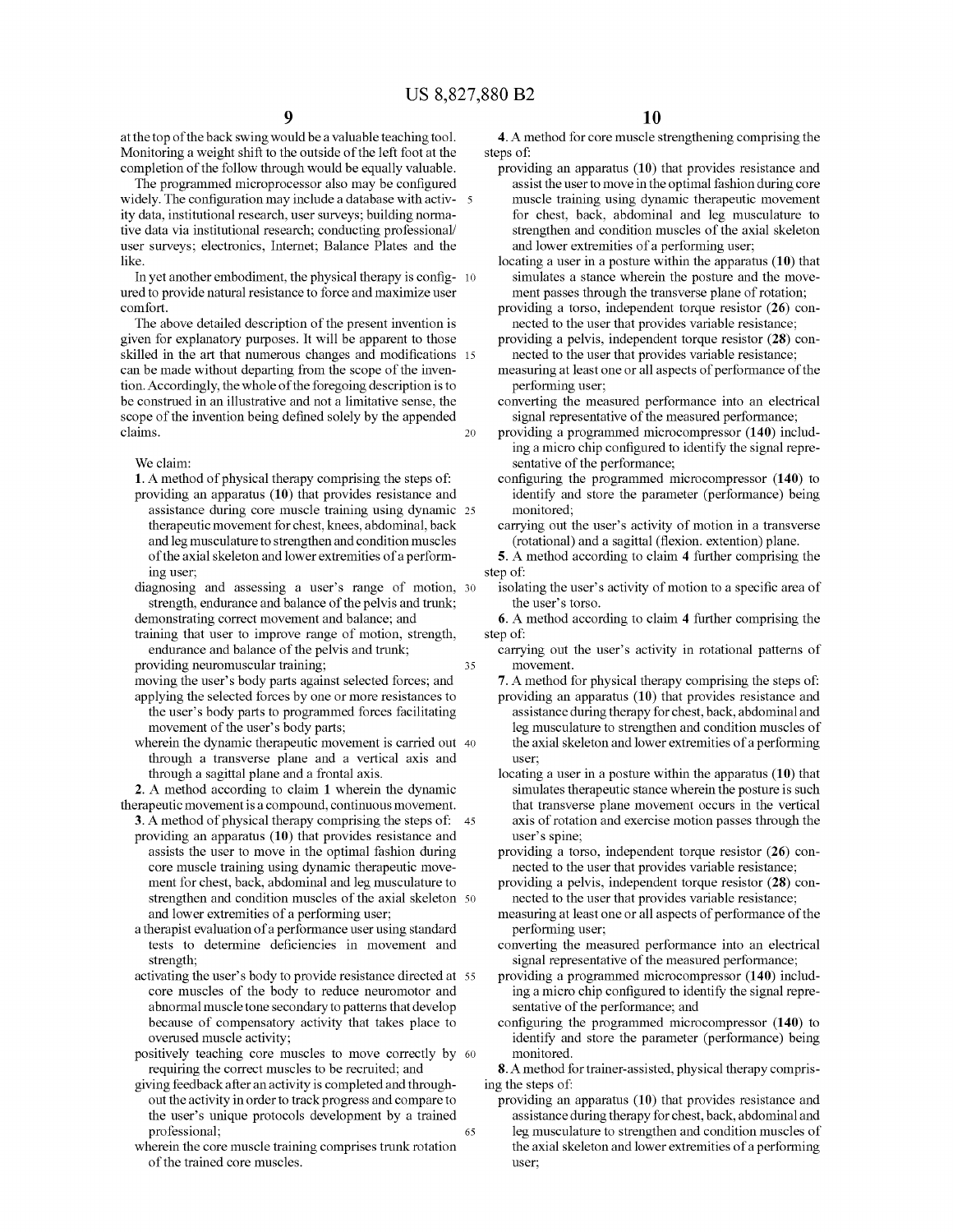at the top of the back swing would be a valuable teaching tool. Monitoring a weight shift to the outside of the left foot at the completion of the follow through would be equally valuable.

The programmed microprocessor also may be configured widely. The configuration may include a database with activity data, institutional research, user surveys; building normative data via institutional research; conducting professional/ user surveys; electronics, Internet; Balance Plates and the like.

In yet another embodiment, the physical therapy is config- 10 ured to provide natural resistance to force and maximize user comfort.

The above detailed description of the present invention is given for explanatory purposes. It will be apparent to those skilled in the art that numerous changes and modifications 15 can be made without departing from the scope of the invention. Accordingly, the whole of the foregoing description is to be construed in an illustrative and not a limitative sense, the scope of the invention being defined solely by the appended claims. 20

#### We claim:

**1.** A method of physical therapy comprising the steps of:

- providing an apparatus **(10)** that provides resistance and assistance during core muscle training using dynamic 25 therapeutic movement for chest, knees, abdominal, back and leg musculature to strengthen and condition muscles of the axial skeleton and lower extremities of a performing user;
- diagnosing and assessing a user's range of motion, 30 strength, endurance and balance of the pelvis and trunk;
- demonstrating correct movement and balance; and training that user to improve range of motion, strength,
- endurance and balance of the pelvis and trunk;
- providing neuromuscular training;  $35$
- moving the user's body parts against selected forces; and applying the selected forces by one or more resistances to the user's body parts to programmed forces facilitating movement of the user's body parts;
- wherein the dynamic therapeutic movement is carried out 40 through a transverse plane and a vertical axis and through a sagittal plane and a frontal axis.

**2.** A method according to claim **1** wherein the dynamic therapeutic movement is a compound, continuous movement.

- **3.** A method of physical therapy comprising the steps of: 45 providing an apparatus **(10)** that provides resistance and assists the user to move in the optimal fashion during core muscle training using dynamic therapeutic movement for chest, back, abdominal and leg musculature to strengthen and condition muscles of the axial skeleton 50 and lower extremities of a performing user;
- a therapist evaluation of a performance user using standard tests to determine deficiencies in movement and strength;
- activating the user's body to provide resistance directed at 55 core muscles of the body to reduce neuromotor and abnormal muscle tone secondary to patterns that develop because of compensatory activity that takes place to overused muscle activity;
- positively teaching core muscles to move correctly by 60 requiring the correct muscles to be recruited; and
- giving feedback after an activity is completed and throughout the activity in order to track progress and compare to the user's unique protocols development by a trained professional; 65
- wherein the core muscle training comprises trunk rotation of the trained core muscles.

**4.** A method for core muscle strengthening comprising the steps of:

- providing an apparatus **(10)** that provides resistance and assist the user to move in the optimal fashion during core muscle training using dynamic therapeutic movement for chest, back, abdominal and leg musculature to strengthen and condition muscles of the axial skeleton and lower extremities of a performing user;
- locating a user in a posture within the apparatus **(10)** that simulates a stance wherein the posture and the movement passes through the transverse plane of rotation;
- providing a torso, independent torque resistor **(26)** connected to the user that provides variable resistance;
- providing a pelvis, independent torque resistor **(28)** connected to the user that provides variable resistance;
- measuring at least one or all aspects of performance of the performing user;
- converting the measured performance into an electrical signal representative of the measured performance;
- providing a programmed microcompressor **(140)** including a micro chip configured to identify the signal representative of the performance;
- configuring the programmed microcompressor **(140)** to identify and store the parameter (performance) being monitored;
- carrying out the user's activity of motion in a transverse (rotational) and a sagittal (flexion. extention) plane.
- **5.** A method according to claim **4** further comprising the step of:
	- isolating the user's activity of motion to a specific area of the user's torso.

**6.** A method according to claim **4** further comprising the step of:

- carrying out the user's activity in rotational patterns of movement.
- **7.** A method for physical therapy comprising the steps of: providing an apparatus **(10)** that provides resistance and assistance during therapy for chest, back, abdominal and leg musculature to strengthen and condition muscles of the axial skeleton and lower extremities of a performing user;
- locating a user in a posture within the apparatus **(10)** that simulates therapeutic stance wherein the posture is such that transverse plane movement occurs in the vertical axis of rotation and exercise motion passes through the user's spine;
- providing a torso, independent torque resistor **(26)** connected to the user that provides variable resistance;
- providing a pelvis, independent torque resistor **(28)** connected to the user that provides variable resistance;
- measuring at least one or all aspects of performance of the performing user;
- converting the measured performance into an electrical signal representative of the measured performance;
- providing a programmed microcompressor **(140)** including a micro chip configured to identify the signal representative of the performance; and
- configuring the programmed microcompressor **(140)** to identify and store the parameter (performance) being monitored.
- **8.** A method for trainer-assisted, physical therapy comprising the steps of:
	- providing an apparatus **(10)** that provides resistance and assistance during therapy for chest, back, abdominal and leg musculature to strengthen and condition muscles of the axial skeleton and lower extremities of a performing user;